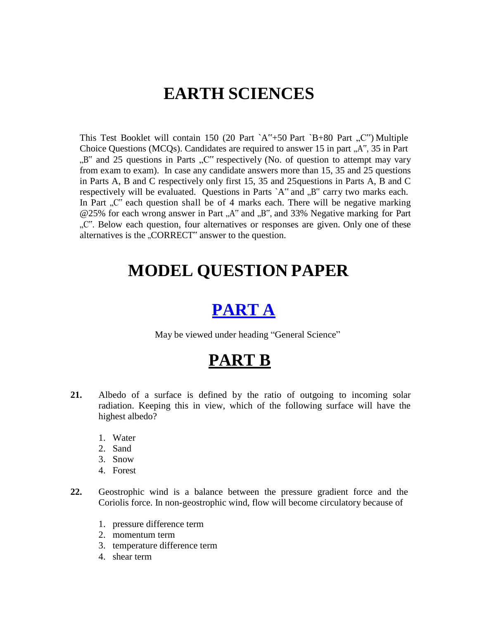# **EARTH SCIENCES**

This Test Booklet will contain 150 (20 Part `A"+50 Part `B+80 Part  $,C''$ ) Multiple Choice Questions (MCQs). Candidates are required to answer 15 in part  $.A^{\prime\prime}$ , 35 in Part  $B^{\prime\prime}$  and 25 questions in Parts  $C^{\prime\prime}$  respectively (No. of question to attempt may vary from exam to exam). In case any candidate answers more than 15, 35 and 25 questions in Parts A, B and C respectively only first 15, 35 and 25questions in Parts A, B and C respectively will be evaluated. Questions in Parts  $A^{\prime\prime}$  and  $B^{\prime\prime}$  carry two marks each. In Part  $\mathbb{R}^m$  each question shall be of 4 marks each. There will be negative marking @25% for each wrong answer in Part "A" and "B", and 33% Negative marking for Part ". Below each question, four alternatives or responses are given. Only one of these alternatives is the "CORRECT" answer to the question.

# **MODEL QUESTION PAPER**

# **PART A**

May be viewed under heading "General Science"

# **PART B**

- **21.** Albedo of a surface is defined by the ratio of outgoing to incoming solar radiation. Keeping this in view, which of the following surface will have the highest albedo?
	- 1. Water
	- 2. Sand
	- 3. Snow
	- 4. Forest
- **22.** Geostrophic wind is a balance between the pressure gradient force and the Coriolis force. In non-geostrophic wind, flow will become circulatory because of
	- 1. pressure difference term
	- 2. momentum term
	- 3. temperature difference term
	- 4. shear term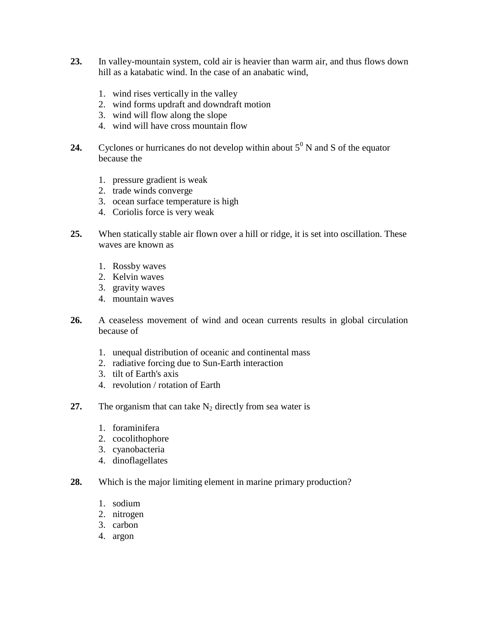- **23.** In valley-mountain system, cold air is heavier than warm air, and thus flows down hill as a katabatic wind. In the case of an anabatic wind,
	- 1. wind rises vertically in the valley
	- 2. wind forms updraft and downdraft motion
	- 3. wind will flow along the slope
	- 4. wind will have cross mountain flow
- **24.** Cyclones or hurricanes do not develop within about  $5^{\circ}$  N and S of the equator because the
	- 1. pressure gradient is weak
	- 2. trade winds converge
	- 3. ocean surface temperature is high
	- 4. Coriolis force is very weak
- **25.** When statically stable air flown over a hill or ridge, it is set into oscillation. These waves are known as
	- 1. Rossby waves
	- 2. Kelvin waves
	- 3. gravity waves
	- 4. mountain waves
- **26.** A ceaseless movement of wind and ocean currents results in global circulation because of
	- 1. unequal distribution of oceanic and continental mass
	- 2. radiative forcing due to Sun-Earth interaction
	- 3. tilt of Earth's axis
	- 4. revolution / rotation of Earth
- **27.** The organism that can take  $N_2$  directly from sea water is
	- 1. foraminifera
	- 2. cocolithophore
	- 3. cyanobacteria
	- 4. dinoflagellates
- **28.** Which is the major limiting element in marine primary production?
	- 1. sodium
	- 2. nitrogen
	- 3. carbon
	- 4. argon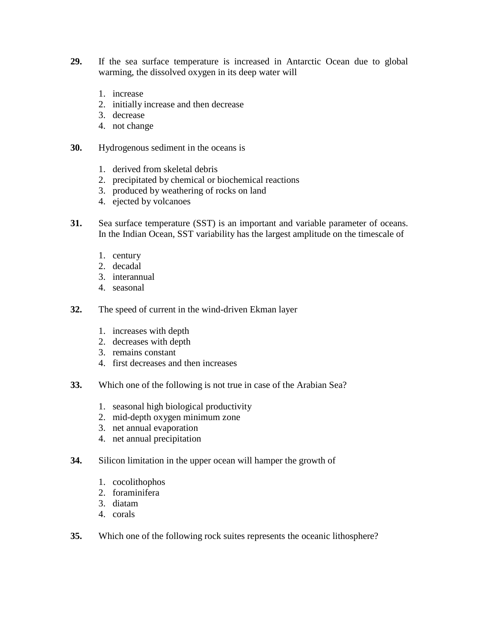- **29.** If the sea surface temperature is increased in Antarctic Ocean due to global warming, the dissolved oxygen in its deep water will
	- 1. increase
	- 2. initially increase and then decrease
	- 3. decrease
	- 4. not change
- **30.** Hydrogenous sediment in the oceans is
	- 1. derived from skeletal debris
	- 2. precipitated by chemical or biochemical reactions
	- 3. produced by weathering of rocks on land
	- 4. ejected by volcanoes
- **31.** Sea surface temperature (SST) is an important and variable parameter of oceans. In the Indian Ocean, SST variability has the largest amplitude on the timescale of
	- 1. century
	- 2. decadal
	- 3. interannual
	- 4. seasonal
- **32.** The speed of current in the wind-driven Ekman layer
	- 1. increases with depth
	- 2. decreases with depth
	- 3. remains constant
	- 4. first decreases and then increases
- **33.** Which one of the following is not true in case of the Arabian Sea?
	- 1. seasonal high biological productivity
	- 2. mid-depth oxygen minimum zone
	- 3. net annual evaporation
	- 4. net annual precipitation
- **34.** Silicon limitation in the upper ocean will hamper the growth of
	- 1. cocolithophos
	- 2. foraminifera
	- 3. diatam
	- 4. corals
- **35.** Which one of the following rock suites represents the oceanic lithosphere?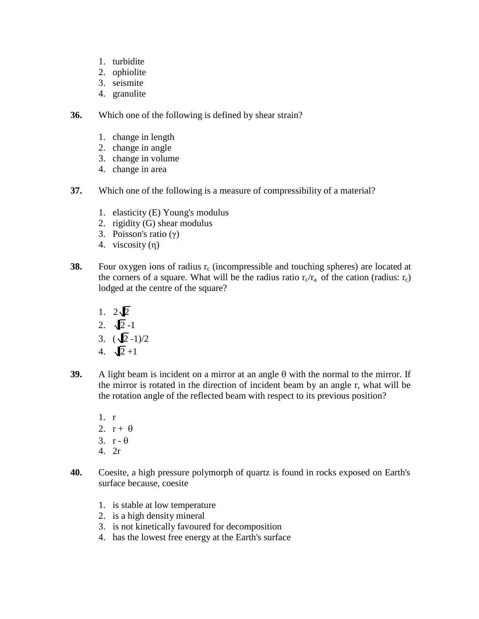- 1. turbidite
- 2. ophiolite
- 3. seismite
- 4. granulite

**36.** Which one of the following is defined by shear strain?

- 1. change in length
- 2. change in angle
- 3. change in volume
- 4. change in area
- **37.** Which one of the following is a measure of compressibility of a material?
	- 1. elasticity (E) Young's modulus
	- 2. rigidity (G) shear modulus
	- 3. Poisson's ratio (γ)
	- 4. viscosity (η)
- **38.** Four oxygen ions of radius  $r_c$  (incompressible and touching spheres) are located at the corners of a square. What will be the radius ratio  $r_c/r_a$  of the cation (radius:  $r_c$ ) lodged at the centre of the square?
	- 1.  $2\sqrt{2}$
	- 2.  $\sqrt{2}$  -1
	- 3.  $(\sqrt{2} 1)/2$
	- 4.  $\sqrt{2} + 1$
- **39.** A light beam is incident on a mirror at an angle  $\theta$  with the normal to the mirror. If the mirror is rotated in the direction of incident beam by an angle r, what will be the rotation angle of the reflected beam with respect to its previous position?
	- 1. r
	- 2.  $r + \theta$
	- 3.  $r \theta$
	- 4. 2r
- **40.** Coesite, a high pressure polymorph of quartz is found in rocks exposed on Earth's surface because, coesite
	- 1. is stable at low temperature
	- 2. is a high density mineral
	- 3. is not kinetically favoured for decomposition
	- 4. has the lowest free energy at the Earth's surface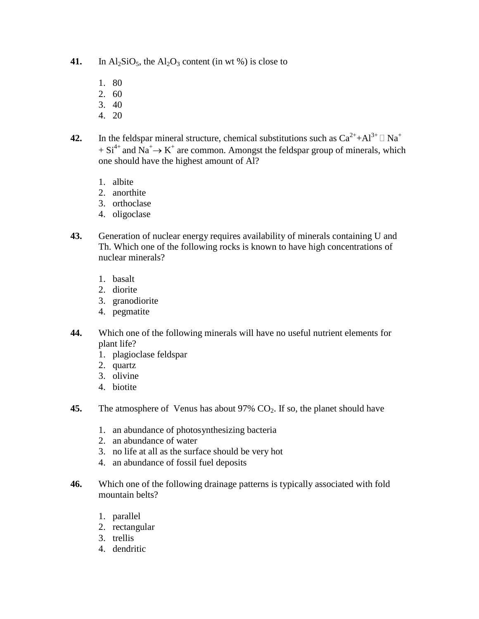- **41.** In  $\text{Al}_2\text{SiO}_5$ , the  $\text{Al}_2\text{O}_3$  content (in wt %) is close to
	- 1. 80
	- 2. 60
	- 3. 40
	- 4. 20
- **42.** In the feldspar mineral structure, chemical substitutions such as  $Ca^{2+}+Al^{3+} \square Na^{+}$  $+ Si<sup>4+</sup>$  and Na<sup>+</sup> $\rightarrow$  K<sup>+</sup> are common. Amongst the feldspar group of minerals, which one should have the highest amount of Al?
	- 1. albite
	- 2. anorthite
	- 3. orthoclase
	- 4. oligoclase
- **43.** Generation of nuclear energy requires availability of minerals containing U and Th. Which one of the following rocks is known to have high concentrations of nuclear minerals?
	- 1. basalt
	- 2. diorite
	- 3. granodiorite
	- 4. pegmatite
- **44.** Which one of the following minerals will have no useful nutrient elements for plant life?
	- 1. plagioclase feldspar
	- 2. quartz
	- 3. olivine
	- 4. biotite
- **45.** The atmosphere of Venus has about  $97\%$  CO<sub>2</sub>. If so, the planet should have
	- 1. an abundance of photosynthesizing bacteria
	- 2. an abundance of water
	- 3. no life at all as the surface should be very hot
	- 4. an abundance of fossil fuel deposits
- **46.** Which one of the following drainage patterns is typically associated with fold mountain belts?
	- 1. parallel
	- 2. rectangular
	- 3. trellis
	- 4. dendritic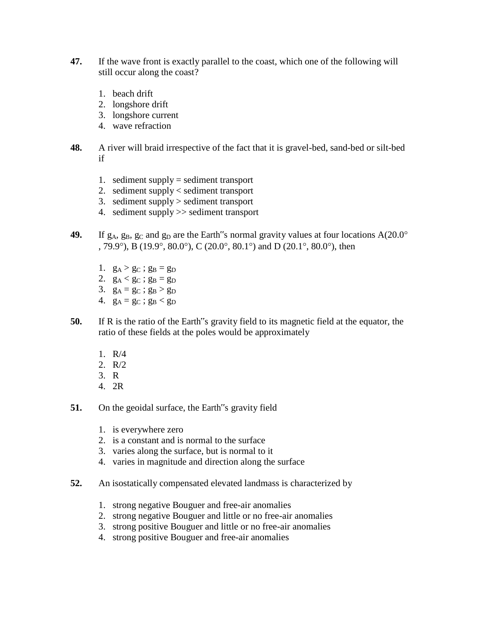- **47.** If the wave front is exactly parallel to the coast, which one of the following will still occur along the coast?
	- 1. beach drift
	- 2. longshore drift
	- 3. longshore current
	- 4. wave refraction
- **48.** A river will braid irrespective of the fact that it is gravel-bed, sand-bed or silt-bed if
	- 1. sediment supply = sediment transport
	- 2. sediment supply < sediment transport
	- 3. sediment supply > sediment transport
	- 4. sediment supply >> sediment transport
- **49.** If  $g_A$ ,  $g_B$ ,  $g_C$  and  $g_D$  are the Earth s normal gravity values at four locations  $A(20.0^\circ)$ , 79.9°), B (19.9°, 80.0°), C (20.0°, 80.1°) and D (20.1°, 80.0°), then
	- 1.  $g_A > g_C$ ;  $g_B = g_D$
	- 2.  $g_A < g_C$ ;  $g_B = g_D$
	- 3.  $g_A = g_C$ ;  $g_B > g_D$
	- 4.  $g_A = g_C$ ;  $g_B < g_D$
- **50.** If R is the ratio of the Earth"s gravity field to its magnetic field at the equator, the ratio of these fields at the poles would be approximately
	- 1. R/4
	- 2. R/2
	- 3. R
	- 4. 2R
- **51.** On the geoidal surface, the Earth"s gravity field
	- 1. is everywhere zero
	- 2. is a constant and is normal to the surface
	- 3. varies along the surface, but is normal to it
	- 4. varies in magnitude and direction along the surface
- **52.** An isostatically compensated elevated landmass is characterized by
	- 1. strong negative Bouguer and free-air anomalies
	- 2. strong negative Bouguer and little or no free-air anomalies
	- 3. strong positive Bouguer and little or no free-air anomalies
	- 4. strong positive Bouguer and free-air anomalies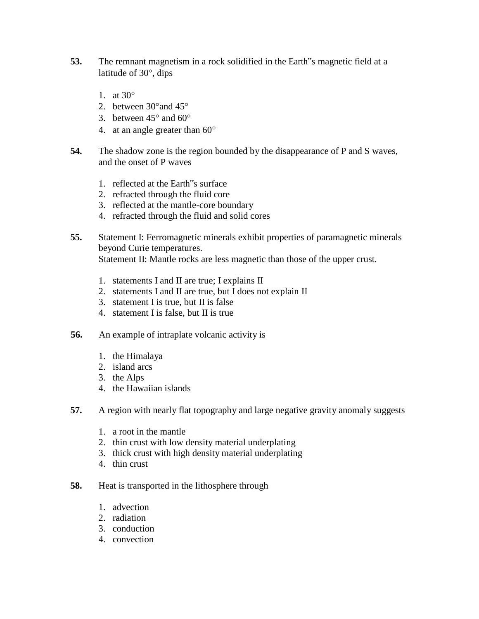- **53.** The remnant magnetism in a rock solidified in the Earth"s magnetic field at a latitude of  $30^\circ$ , dips
	- 1. at  $30^\circ$
	- 2. between  $30^{\circ}$  and  $45^{\circ}$
	- 3. between  $45^{\circ}$  and  $60^{\circ}$
	- 4. at an angle greater than  $60^{\circ}$
- **54.** The shadow zone is the region bounded by the disappearance of P and S waves, and the onset of P waves
	- 1. reflected at the Earth"s surface
	- 2. refracted through the fluid core
	- 3. reflected at the mantle-core boundary
	- 4. refracted through the fluid and solid cores
- **55.** Statement I: Ferromagnetic minerals exhibit properties of paramagnetic minerals beyond Curie temperatures. Statement II: Mantle rocks are less magnetic than those of the upper crust.
	- 1. statements I and II are true; I explains II
	- 2. statements I and II are true, but I does not explain II
	- 3. statement I is true, but II is false
	- 4. statement I is false, but II is true
- **56.** An example of intraplate volcanic activity is
	- 1. the Himalaya
	- 2. island arcs
	- 3. the Alps
	- 4. the Hawaiian islands
- **57.** A region with nearly flat topography and large negative gravity anomaly suggests
	- 1. a root in the mantle
	- 2. thin crust with low density material underplating
	- 3. thick crust with high density material underplating
	- 4. thin crust
- **58.** Heat is transported in the lithosphere through
	- 1. advection
	- 2. radiation
	- 3. conduction
	- 4. convection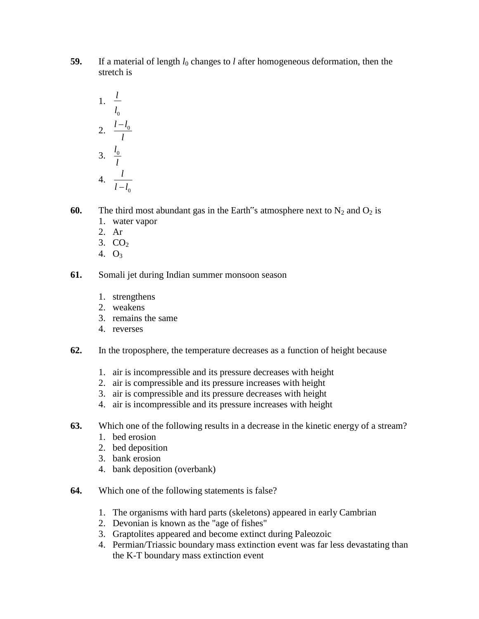**59.** If a material of length  $l_0$  changes to *l* after homogeneous deformation, then the stretch is

1. 
$$
\frac{l}{l_0}
$$
  
\n2.  $\frac{l-l_0}{l}$   
\n3.  $\frac{l_0}{l}$   
\n4.  $\frac{l}{l-l_0}$ 

**60.** The third most abundant gas in the Earth s atmosphere next to  $N_2$  and  $O_2$  is

- 1. water vapor
- 2. Ar
- 3.  $CO<sub>2</sub>$
- 4.  $O_3$
- **61.** Somali jet during Indian summer monsoon season
	- 1. strengthens
	- 2. weakens
	- 3. remains the same
	- 4. reverses
- **62.** In the troposphere, the temperature decreases as a function of height because
	- 1. air is incompressible and its pressure decreases with height
	- 2. air is compressible and its pressure increases with height
	- 3. air is compressible and its pressure decreases with height
	- 4. air is incompressible and its pressure increases with height
- **63.** Which one of the following results in a decrease in the kinetic energy of a stream?
	- 1. bed erosion
	- 2. bed deposition
	- 3. bank erosion
	- 4. bank deposition (overbank)
- **64.** Which one of the following statements is false?
	- 1. The organisms with hard parts (skeletons) appeared in early Cambrian
	- 2. Devonian is known as the "age of fishes"
	- 3. Graptolites appeared and become extinct during Paleozoic
	- 4. Permian/Triassic boundary mass extinction event was far less devastating than the K-T boundary mass extinction event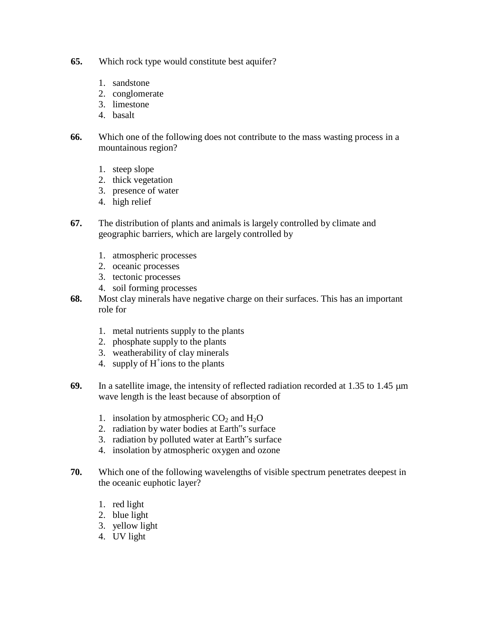- **65.** Which rock type would constitute best aquifer?
	- 1. sandstone
	- 2. conglomerate
	- 3. limestone
	- 4. basalt
- **66.** Which one of the following does not contribute to the mass wasting process in a mountainous region?
	- 1. steep slope
	- 2. thick vegetation
	- 3. presence of water
	- 4. high relief
- **67.** The distribution of plants and animals is largely controlled by climate and geographic barriers, which are largely controlled by
	- 1. atmospheric processes
	- 2. oceanic processes
	- 3. tectonic processes
	- 4. soil forming processes
- **68.** Most clay minerals have negative charge on their surfaces. This has an important role for
	- 1. metal nutrients supply to the plants
	- 2. phosphate supply to the plants
	- 3. weatherability of clay minerals
	- 4. supply of  $H^+$ ions to the plants
- **69.** In a satellite image, the intensity of reflected radiation recorded at 1.35 to 1.45  $\mu$ m wave length is the least because of absorption of
	- 1. insolation by atmospheric  $CO<sub>2</sub>$  and  $H<sub>2</sub>O$
	- 2. radiation by water bodies at Earth"s surface
	- 3. radiation by polluted water at Earth"s surface
	- 4. insolation by atmospheric oxygen and ozone
- **70.** Which one of the following wavelengths of visible spectrum penetrates deepest in the oceanic euphotic layer?
	- 1. red light
	- 2. blue light
	- 3. yellow light
	- 4. UV light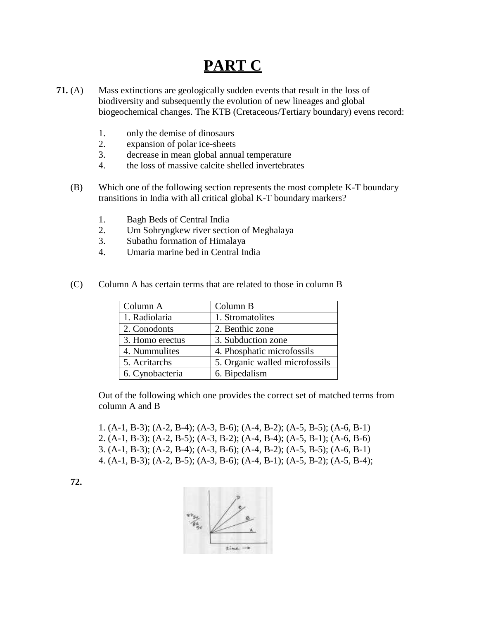## **PART C**

- **71.** (A) Mass extinctions are geologically sudden events that result in the loss of biodiversity and subsequently the evolution of new lineages and global biogeochemical changes. The KTB (Cretaceous/Tertiary boundary) evens record:
	- 1. only the demise of dinosaurs
	- 2. expansion of polar ice-sheets
	- 3. decrease in mean global annual temperature
	- 4. the loss of massive calcite shelled invertebrates
	- (B) Which one of the following section represents the most complete K-T boundary transitions in India with all critical global K-T boundary markers?
		- 1. Bagh Beds of Central India
		- 2. Um Sohryngkew river section of Meghalaya
		- 3. Subathu formation of Himalaya
		- 4. Umaria marine bed in Central India

| Column A        | Column B                       |
|-----------------|--------------------------------|
| 1. Radiolaria   | 1. Stromatolites               |
| 2. Conodonts    | 2. Benthic zone                |
| 3. Homo erectus | 3. Subduction zone             |
| 4. Nummulites   | 4. Phosphatic microfossils     |
| 5. Acritarchs   | 5. Organic walled microfossils |
| 6. Cynobacteria | 6. Bipedalism                  |

(C) Column A has certain terms that are related to those in column B

Out of the following which one provides the correct set of matched terms from column A and B

1. (A-1, B-3); (A-2, B-4); (A-3, B-6); (A-4, B-2); (A-5, B-5); (A-6, B-1) 2. (A-1, B-3); (A-2, B-5); (A-3, B-2); (A-4, B-4); (A-5, B-1); (A-6, B-6) 3. (A-1, B-3); (A-2, B-4); (A-3, B-6); (A-4, B-2); (A-5, B-5); (A-6, B-1) 4. (A-1, B-3); (A-2, B-5); (A-3, B-6); (A-4, B-1); (A-5, B-2); (A-5, B-4);



**72.**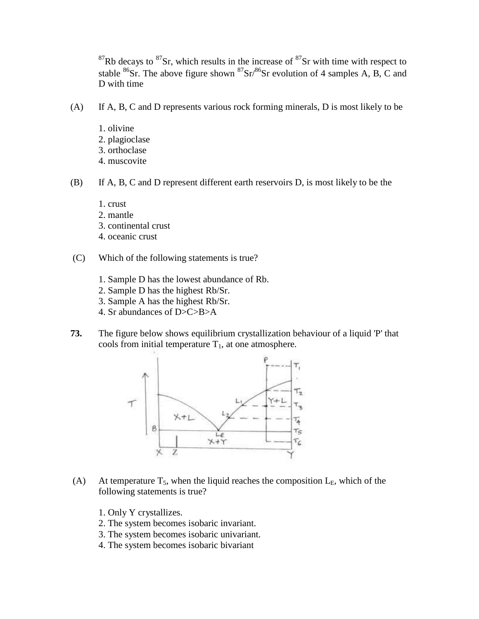$87$ Rb decays to  $87$ Sr, which results in the increase of  $87$ Sr with time with respect to stable  ${}^{86}Sr$ . The above figure shown  ${}^{87}Sr/{}^{86}Sr$  evolution of 4 samples A, B, C and D with time

- (A) If A, B, C and D represents various rock forming minerals, D is most likely to be
	- 1. olivine 2. plagioclase 3. orthoclase 4. muscovite
- (B) If A, B, C and D represent different earth reservoirs D, is most likely to be the
	- 1. crust
	- 2. mantle
	- 3. continental crust
	- 4. oceanic crust
- (C) Which of the following statements is true?
	- 1. Sample D has the lowest abundance of Rb.
	- 2. Sample D has the highest Rb/Sr.
	- 3. Sample A has the highest Rb/Sr.
	- 4. Sr abundances of D>C>B>A
- **73.** The figure below shows equilibrium crystallization behaviour of a liquid 'P' that cools from initial temperature  $T_1$ , at one atmosphere.



- (A) At temperature  $T_5$ , when the liquid reaches the composition  $L_E$ , which of the following statements is true?
	- 1. Only Y crystallizes.
	- 2. The system becomes isobaric invariant.
	- 3. The system becomes isobaric univariant.
	- 4. The system becomes isobaric bivariant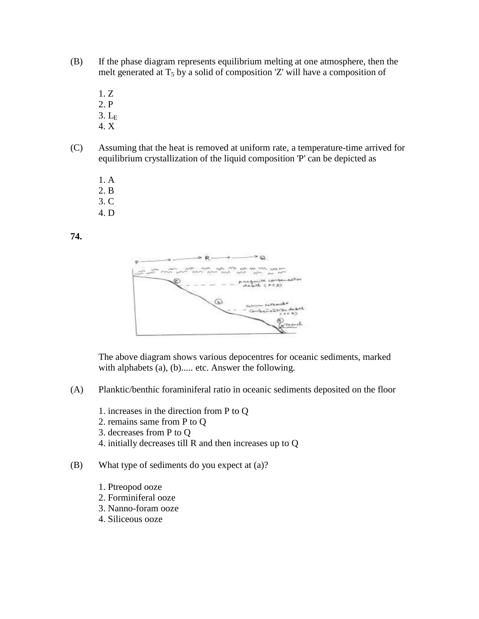- (B) If the phase diagram represents equilibrium melting at one atmosphere, then the melt generated at  $T_5$  by a solid of composition 'Z' will have a composition of
	- 1. Z
	- 2. P
	- $3. L<sub>E</sub>$
	- 4. X
- (C) Assuming that the heat is removed at uniform rate, a temperature-time arrived for equilibrium crystallization of the liquid composition 'P' can be depicted as
	- 1. A
	- 2. B
	- 3. C
	- 4. D

**74.**



The above diagram shows various depocentres for oceanic sediments, marked with alphabets (a), (b)..... etc. Answer the following.

- (A) Planktic/benthic foraminiferal ratio in oceanic sediments deposited on the floor
	- 1. increases in the direction from P to Q
	- 2. remains same from P to Q
	- 3. decreases from P to Q
	- 4. initially decreases till R and then increases up to Q
- (B) What type of sediments do you expect at (a)?
	- 1. Ptreopod ooze
	- 2. Forminiferal ooze
	- 3. Nanno-foram ooze
	- 4. Siliceous ooze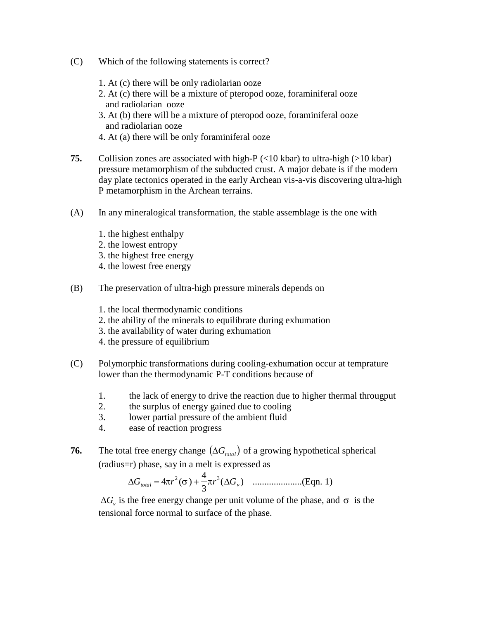- (C) Which of the following statements is correct?
	- 1. At (c) there will be only radiolarian ooze
	- 2. At (c) there will be a mixture of pteropod ooze, foraminiferal ooze and radiolarian ooze
	- 3. At (b) there will be a mixture of pteropod ooze, foraminiferal ooze and radiolarian ooze
	- 4. At (a) there will be only foraminiferal ooze
- **75.** Collision zones are associated with high-P (<10 kbar) to ultra-high (>10 kbar) pressure metamorphism of the subducted crust. A major debate is if the modern day plate tectonics operated in the early Archean vis-a-vis discovering ultra-high P metamorphism in the Archean terrains.
- (A) In any mineralogical transformation, the stable assemblage is the one with
	- 1. the highest enthalpy
	- 2. the lowest entropy
	- 3. the highest free energy
	- 4. the lowest free energy
- (B) The preservation of ultra-high pressure minerals depends on
	- 1. the local thermodynamic conditions
	- 2. the ability of the minerals to equilibrate during exhumation
	- 3. the availability of water during exhumation
	- 4. the pressure of equilibrium
- (C) Polymorphic transformations during cooling-exhumation occur at temprature lower than the thermodynamic P-T conditions because of
	- 1. the lack of energy to drive the reaction due to higher thermal througput
	- 2. the surplus of energy gained due to cooling
	- 3. lower partial pressure of the ambient fluid
	- 4. ease of reaction progress
- **76.** The total free energy change  $(\Delta G_{total})$  of a growing hypothetical spherical (radius=r) phase, say in a melt is expressed as

*G* 4*r* 2 ( ) 4 *r* 3 (*G* ) .....................(Eqn. 1) *total* 3 *v*

 $\Delta G$ <sub>v</sub> is the free energy change per unit volume of the phase, and  $\sigma$  is the tensional force normal to surface of the phase.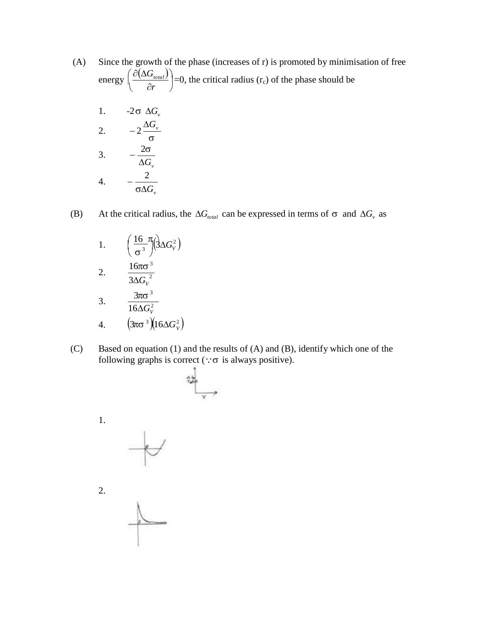- (A) Since the growth of the phase (increases of r) is promoted by minimisation of free  $\big(\, \partial (\Delta G_{\scriptscriptstyle total}) \big)$ energy  $\vert$  $\left(\frac{\partial (16G_{total})}{\partial r}\right)$  =0, the critical radius (r<sub>c</sub>) of the phase should be
	- 1.  $-2\sigma \Delta G_v$ 2.  $-2\frac{\Delta G_v}{\Delta G}$  $\sigma$ 3.  $-\frac{2\sigma}{\sigma}$ 4.  $\Delta G$ <sub>*v*</sub> 2  $\sigma \Delta G_{\scriptscriptstyle\rm V}$

(B) At the critical radius, the  $\Delta G_{total}$  can be expressed in terms of  $\sigma$  and  $\Delta G_v$  as

1. 
$$
\left(\frac{16}{\sigma^3}\pi\right) \left(3\Delta G_v^2\right)
$$
  
2. 
$$
\frac{16\pi\sigma^3}{3\Delta G_v^2}
$$
  
3. 
$$
\frac{3\pi\sigma^3}{16\Delta G_v^2}
$$
  
4. 
$$
\left(3\pi\sigma^3\right) \left(16\Delta G_v^2\right)
$$

(C) Based on equation (1) and the results of (A) and (B), identify which one of the following graphs is correct ( $\because \sigma$  is always positive).

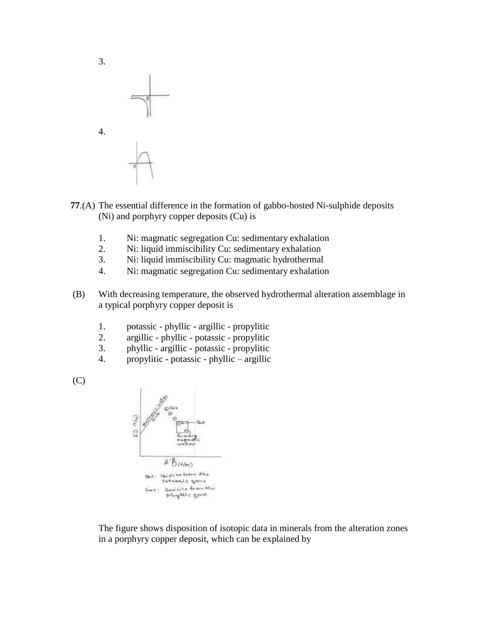

- **77**.(A) The essential difference in the formation of gabbo-hosted Ni-sulphide deposits (Ni) and porphyry copper deposits (Cu) is
	- 1. Ni: magmatic segregation Cu: sedimentary exhalation
	- 2. Ni: liquid immiscibility Cu: sedimentary exhalation
	- 3. Ni: liquid immiscibility Cu: magmatic hydrothermal
	- 4. Ni: magmatic segregation Cu: sedimentary exhalation
- (B) With decreasing temperature, the observed hydrothermal alteration assemblage in a typical porphyry copper deposit is
	- 1. potassic phyllic argillic propylitic
	- 2. argillic phyllic potassic propylitic
	- 3. phyllic argillic potassic propylitic
	- 4. propylitic potassic phyllic argillic





The figure shows disposition of isotopic data in minerals from the alteration zones in a porphyry copper deposit, which can be explained by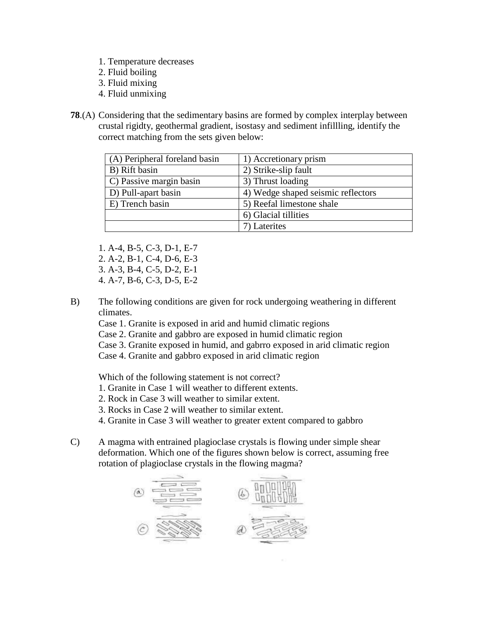- 1. Temperature decreases
- 2. Fluid boiling
- 3. Fluid mixing
- 4. Fluid unmixing
- **78**.(A) Considering that the sedimentary basins are formed by complex interplay between crustal rigidty, geothermal gradient, isostasy and sediment infillling, identify the correct matching from the sets given below:

| (A) Peripheral foreland basin | 1) Accretionary prism              |
|-------------------------------|------------------------------------|
| B) Rift basin                 | 2) Strike-slip fault               |
| C) Passive margin basin       | 3) Thrust loading                  |
| D) Pull-apart basin           | 4) Wedge shaped seismic reflectors |
| E) Trench basin               | 5) Reefal limestone shale          |
|                               | 6) Glacial tillities               |
|                               | 7) Laterites                       |

1. A-4, B-5, C-3, D-1, E-7 2. A-2, B-1, C-4, D-6, E-3 3. A-3, B-4, C-5, D-2, E-1 4. A-7, B-6, C-3, D-5, E-2

B) The following conditions are given for rock undergoing weathering in different climates.

Case 1. Granite is exposed in arid and humid climatic regions

Case 2. Granite and gabbro are exposed in humid climatic region

Case 3. Granite exposed in humid, and gabrro exposed in arid climatic region

Case 4. Granite and gabbro exposed in arid climatic region

Which of the following statement is not correct?

- 1. Granite in Case 1 will weather to different extents.
- 2. Rock in Case 3 will weather to similar extent.
- 3. Rocks in Case 2 will weather to similar extent.
- 4. Granite in Case 3 will weather to greater extent compared to gabbro
- C) A magma with entrained plagioclase crystals is flowing under simple shear deformation. Which one of the figures shown below is correct, assuming free rotation of plagioclase crystals in the flowing magma?

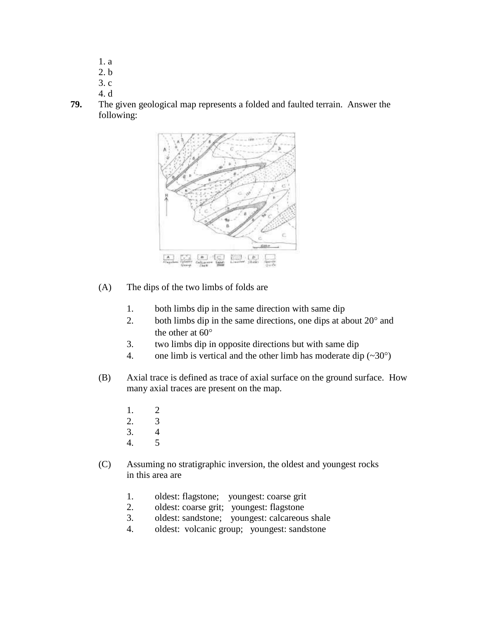- 1. a
- 2. b
- 3. c
- 4. d
- **79.** The given geological map represents a folded and faulted terrain. Answer the following:



- (A) The dips of the two limbs of folds are
	- 1. both limbs dip in the same direction with same dip
	- 2. both limbs dip in the same directions, one dips at about  $20^{\circ}$  and the other at  $60^\circ$
	- 3. two limbs dip in opposite directions but with same dip
	- 4. one limb is vertical and the other limb has moderate dip  $(\sim 30^{\circ})$
- (B) Axial trace is defined as trace of axial surface on the ground surface. How many axial traces are present on the map.
	- 1. 2
	- 2. 3
	- 3. 4
	- 4. 5
- (C) Assuming no stratigraphic inversion, the oldest and youngest rocks in this area are
	- 1. oldest: flagstone; youngest: coarse grit
	- 2. oldest: coarse grit; youngest: flagstone
	- 3. oldest: sandstone; youngest: calcareous shale
	- 4. oldest: volcanic group; youngest: sandstone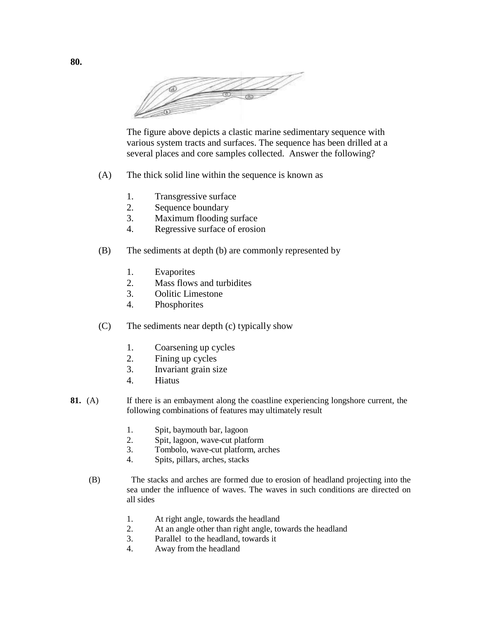

The figure above depicts a clastic marine sedimentary sequence with various system tracts and surfaces. The sequence has been drilled at a several places and core samples collected. Answer the following?

- (A) The thick solid line within the sequence is known as
	- 1. Transgressive surface
	- 2. Sequence boundary
	- 3. Maximum flooding surface
	- 4. Regressive surface of erosion
- (B) The sediments at depth (b) are commonly represented by
	- 1. Evaporites
	- 2. Mass flows and turbidites
	- 3. Oolitic Limestone
	- 4. Phosphorites
- (C) The sediments near depth (c) typically show
	- 1. Coarsening up cycles
	- 2. Fining up cycles
	- 3. Invariant grain size
	- 4. Hiatus
- **81.** (A) If there is an embayment along the coastline experiencing longshore current, the following combinations of features may ultimately result
	- 1. Spit, baymouth bar, lagoon
	- 2. Spit, lagoon, wave-cut platform
	- 3. Tombolo, wave-cut platform, arches
	- 4. Spits, pillars, arches, stacks
	- (B) The stacks and arches are formed due to erosion of headland projecting into the sea under the influence of waves. The waves in such conditions are directed on all sides
		- 1. At right angle, towards the headland
		- 2. At an angle other than right angle, towards the headland
		- 3. Parallel to the headland, towards it
		- 4. Away from the headland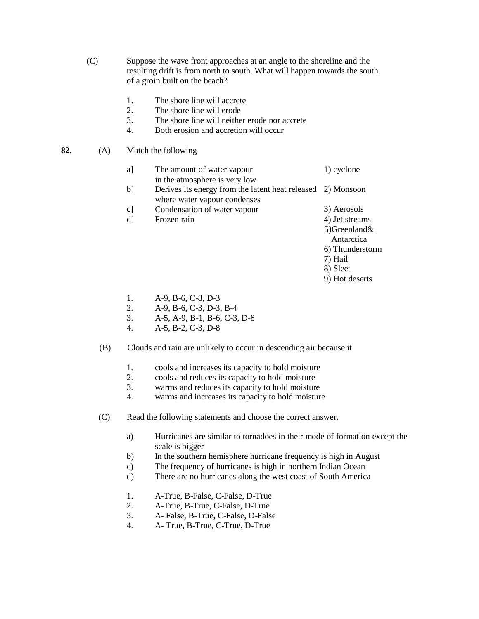- (C) Suppose the wave front approaches at an angle to the shoreline and the resulting drift is from north to south. What will happen towards the south of a groin built on the beach?
	- 1. The shore line will accrete
	- 2. The shore line will erode
	- 3. The shore line will neither erode nor accrete
	- 4. Both erosion and accretion will occur
- **82.** (A) Match the following
	- a] The amount of water vapour in the atmosphere is very low 1) cyclone
	- b] Derives its energy from the latent heat released 2) Monsoon where water vapour condenses
	- c] Condensation of water vapour d] Frozen rain 4) Jet streams
		- 3) Aerosols
		- 5)Greenland&

Antarctica

- 6) Thunderstorm
- 7) Hail
- 8) Sleet
- 9) Hot deserts

- 1. A-9, B-6, C-8, D-3
- 2. A-9, B-6, C-3, D-3, B-4
- 3. A-5, A-9, B-1, B-6, C-3, D-8
- 4. A-5, B-2, C-3, D-8
- (B) Clouds and rain are unlikely to occur in descending air because it
	- 1. cools and increases its capacity to hold moisture
	- 2. cools and reduces its capacity to hold moisture
	- 3. warms and reduces its capacity to hold moisture
	- 4. warms and increases its capacity to hold moisture
- (C) Read the following statements and choose the correct answer.
	- a) Hurricanes are similar to tornadoes in their mode of formation except the scale is bigger
	- b) In the southern hemisphere hurricane frequency is high in August
	- c) The frequency of hurricanes is high in northern Indian Ocean
	- d) There are no hurricanes along the west coast of South America
	- 1. A-True, B-False, C-False, D-True
	- 2. A-True, B-True, C-False, D-True
	- 3. A- False, B-True, C-False, D-False
	- 4. A- True, B-True, C-True, D-True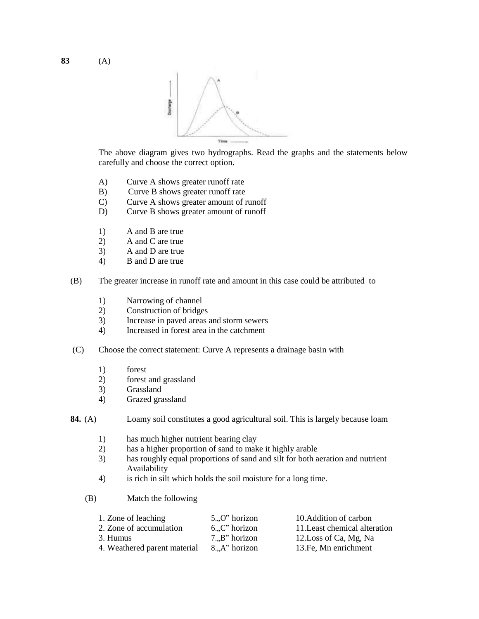

The above diagram gives two hydrographs. Read the graphs and the statements below carefully and choose the correct option.

- A) Curve A shows greater runoff rate
- B) Curve B shows greater runoff rate
- C) Curve A shows greater amount of runoff
- D) Curve B shows greater amount of runoff
- 1) A and B are true
- 2) A and C are true
- 3) A and D are true
- 4) B and D are true
- (B) The greater increase in runoff rate and amount in this case could be attributed to
	- 1) Narrowing of channel
	- 2) Construction of bridges
	- 3) Increase in paved areas and storm sewers
	- 4) Increased in forest area in the catchment
- (C) Choose the correct statement: Curve A represents a drainage basin with
	- 1) forest
	- 2) forest and grassland
	- 3) Grassland
	- 4) Grazed grassland

**84.** (A) Loamy soil constitutes a good agricultural soil. This is largely because loam

- 1) has much higher nutrient bearing clay
- 2) has a higher proportion of sand to make it highly arable
- 3) has roughly equal proportions of sand and silt for both aeration and nutrient Availability
- 4) is rich in silt which holds the soil moisture for a long time.
- (B) Match the following

| 1. Zone of leaching          | $50$ " horizon                                | 10. Addition of carbon        |
|------------------------------|-----------------------------------------------|-------------------------------|
| 2. Zone of accumulation      | $6.$ C <sup><math>\alpha</math></sup> horizon | 11. Least chemical alteration |
| 3. Humus                     | $7B$ " horizon                                | 12. Loss of Ca, Mg, Na        |
| 4. Weathered parent material | 8. A" horizon                                 | 13. Fe, Mn enrichment         |

**83** (A)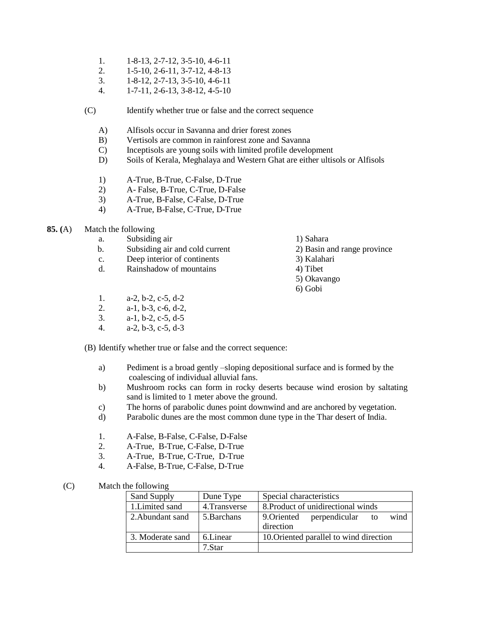- 1. 1-8-13, 2-7-12, 3-5-10, 4-6-11
- 2. 1-5-10, 2-6-11, 3-7-12, 4-8-13
- 3. 1-8-12, 2-7-13, 3-5-10, 4-6-11
- 4. 1-7-11, 2-6-13, 3-8-12, 4-5-10

(C) Identify whether true or false and the correct sequence

- A) Alfisols occur in Savanna and drier forest zones
- B) Vertisols are common in rainforest zone and Savanna
- C) Inceptisols are young soils with limited profile development
- D) Soils of Kerala, Meghalaya and Western Ghat are either ultisols or Alfisols
- 1) A-True, B-True, C-False, D-True
- 2) A- False, B-True, C-True, D-False
- 3) A-True, B-False, C-False, D-True
- 4) A-True, B-False, C-True, D-True

#### **85. (**A) Match the following

- a. Subsiding air 1) Sahara
- b. Subsiding air and cold current 2) Basin and range province
- c. Deep interior of continents 3) Kalahari
- d. Rainshadow of mountains 4) Tibet
- 
- 
- -
	- 5) Okavango
	- 6) Gobi
- 1. a-2, b-2, c-5, d-2
- 2. a-1, b-3, c-6, d-2,
- 3. a-1, b-2, c-5, d-5
- 4. a-2, b-3, c-5, d-3

(B) Identify whether true or false and the correct sequence:

- a) Pediment is a broad gently –sloping depositional surface and is formed by the coalescing of individual alluvial fans.
- b) Mushroom rocks can form in rocky deserts because wind erosion by saltating sand is limited to 1 meter above the ground.
- c) The horns of parabolic dunes point downwind and are anchored by vegetation.
- d) Parabolic dunes are the most common dune type in the Thar desert of India.
- 1. A-False, B-False, C-False, D-False
- 2. A-True, B-True, C-False, D-True
- 3. A-True, B-True, C-True, D-True
- 4. A-False, B-True, C-False, D-True

### (C) Match the following

| Sand Supply      | Dune Type     | Special characteristics                                 |  |  |
|------------------|---------------|---------------------------------------------------------|--|--|
| 1. Limited sand  | 4. Transverse | 8. Product of unidirectional winds                      |  |  |
| 2. Abundant sand | 5. Barchans   | wind<br>9. Oriented<br>perpendicular<br>to<br>direction |  |  |
| 3. Moderate sand | 6.Linear      | 10. Oriented parallel to wind direction                 |  |  |
|                  | 7.Star        |                                                         |  |  |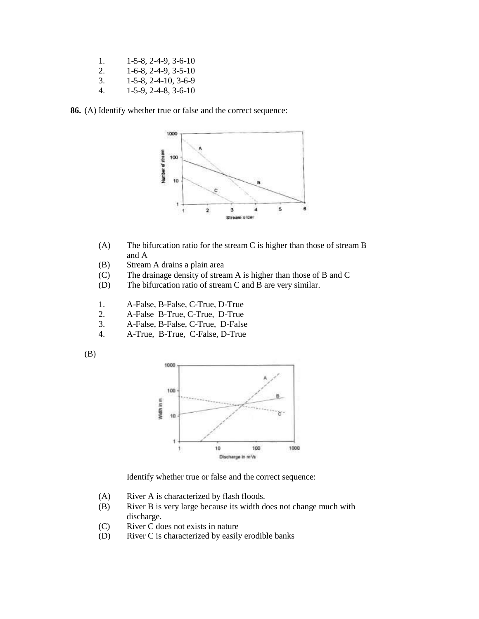1. 1-5-8, 2-4-9, 3-6-10 2. 1-6-8, 2-4-9, 3-5-10

3. 1-5-8, 2-4-10, 3-6-9

4. 1-5-9, 2-4-8, 3-6-10

**86.** (A) Identify whether true or false and the correct sequence:



- (A) The bifurcation ratio for the stream C is higher than those of stream B and A
- (B) Stream A drains a plain area
- (C) The drainage density of stream A is higher than those of B and C
- (D) The bifurcation ratio of stream C and B are very similar.
- 1. A-False, B-False, C-True, D-True
- 2. A-False B-True, C-True, D-True
- 3. A-False, B-False, C-True, D-False
- 4. A-True, B-True, C-False, D-True





Identify whether true or false and the correct sequence:

- (A) River A is characterized by flash floods.
- (B) River B is very large because its width does not change much with discharge.
- (C) River C does not exists in nature
- (D) River C is characterized by easily erodible banks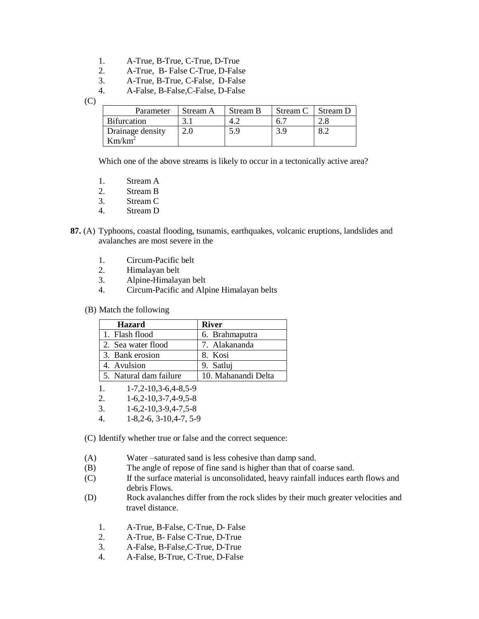- 1. A-True, B-True, C-True, D-True
- 2. A-True, B- False C-True, D-False
- 3. A-True, B-True, C-False, D-False
- 4. A-False, B-False,C-False, D-False

(C)

| Parameter          | Stream A | Stream B | Stream C | Stream D |
|--------------------|----------|----------|----------|----------|
| <b>Bifurcation</b> |          |          |          |          |
| Drainage density   |          | 5.9      |          | 8.2      |
| $Km/km^2$          |          |          |          |          |

Which one of the above streams is likely to occur in a tectonically active area?

- 2. Stream B
- 3. Stream C
- 4. Stream D
- **87.** (A) Typhoons, coastal flooding, tsunamis, earthquakes, volcanic eruptions, landslides and avalanches are most severe in the
	- 1. Circum-Pacific belt
	- 2. Himalayan belt
	- 3. Alpine-Himalayan belt
	- 4. Circum-Pacific and Alpine Himalayan belts
	- (B) Match the following

| <b>Hazard</b>          | <b>River</b>        |
|------------------------|---------------------|
| 1. Flash flood         | 6. Brahmaputra      |
| 2. Sea water flood     | 7. Alakananda       |
| 3. Bank erosion        | 8. Kosi             |
| 4. Avulsion            | 9. Satlui           |
| 5. Natural dam failure | 10. Mahanandi Delta |

- 1. 1-7,2-10,3-6,4-8,5-9
- 2. 1-6,2-10,3-7,4-9,5-8
- 3. 1-6,2-10,3-9,4-7,5-8
- 4. 1-8,2-6, 3-10,4-7, 5-9

(C) Identify whether true or false and the correct sequence:

- (A) Water –saturated sand is less cohesive than damp sand.
- (B) The angle of repose of fine sand is higher than that of coarse sand.
- (C) If the surface material is unconsolidated, heavy rainfall induces earth flows and debris Flows.
- (D) Rock avalanches differ from the rock slides by their much greater velocities and travel distance.
	- 1. A-True, B-False, C-True, D- False
	- 2. A-True, B- False C-True, D-True
	- 3. A-False, B-False,C-True, D-True
	- 4. A-False, B-True, C-True, D-False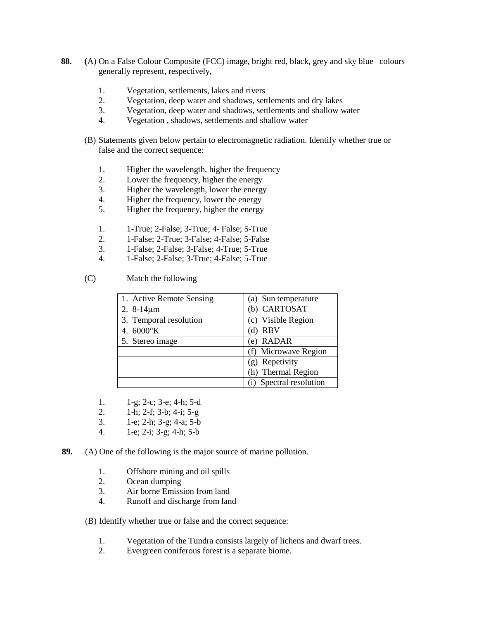- **88. (**A) On a False Colour Composite (FCC) image, bright red, black, grey and sky blue colours generally represent, respectively,
	- 1. Vegetation, settlements, lakes and rivers
	- 2. Vegetation, deep water and shadows, settlements and dry lakes
	- 3. Vegetation, deep water and shadows, settlements and shallow water
	- 4. Vegetation , shadows, settlements and shallow water
	- (B) Statements given below pertain to electromagnetic radiation. Identify whether true or false and the correct sequence:
		- 1. Higher the wavelength, higher the frequency
		- 2. Lower the frequency, higher the energy<br>3. Higher the wavelength, lower the energy
		- Higher the wavelength, lower the energy
		- 4. Higher the frequency, lower the energy
		- 5. Higher the frequency, higher the energy
		- 1. 1-True; 2-False; 3-True; 4- False; 5-True
		- 2. 1-False; 2-True; 3-False; 4-False; 5-False
		- 3. 1-False; 2-False; 3-False; 4-True; 5-True
		- 4. 1-False; 2-False; 3-True; 4-False; 5-True

#### (C) Match the following

| 1. Active Remote Sensing | (a) Sun temperature     |
|--------------------------|-------------------------|
| 2. $8-14 \mu m$          | (b) CARTOSAT            |
| 3. Temporal resolution   | (c) Visible Region      |
| 4. $6000\textdegree K$   | $(d)$ RBV               |
| 5. Stereo image          | (e) RADAR               |
|                          | (f) Microwave Region    |
|                          | (g) Repetivity          |
|                          | (h) Thermal Region      |
|                          | (i) Spectral resolution |

- 1. 1-g; 2-c; 3-e; 4-h; 5-d
- 2. 1-h; 2-f; 3-b; 4-i; 5-g
- 3. 1-e; 2-h; 3-g; 4-a; 5-b
- 4. 1-e; 2-i; 3-g; 4-h; 5-b
- **89.** (A) One of the following is the major source of marine pollution.
	- 1. Offshore mining and oil spills
	- 2. Ocean dumping
	- 3. Air borne Emission from land
	- 4. Runoff and discharge from land

### (B) Identify whether true or false and the correct sequence:

- 1. Vegetation of the Tundra consists largely of lichens and dwarf trees.<br>2. Evergreen coniferous forest is a separate biome.
- Evergreen coniferous forest is a separate biome.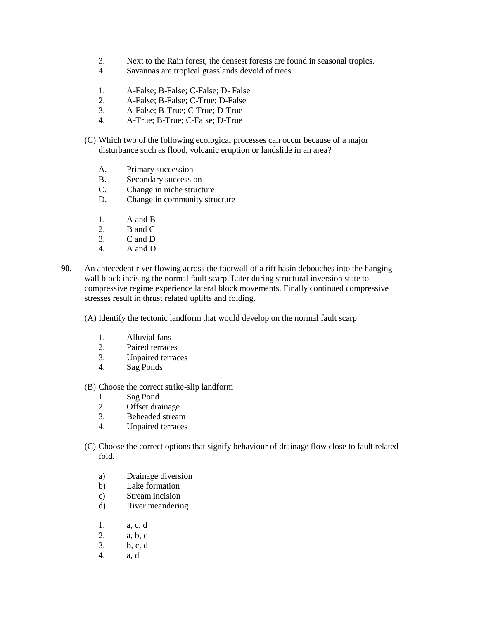- 3. Next to the Rain forest, the densest forests are found in seasonal tropics.
- 4. Savannas are tropical grasslands devoid of trees.
- 1. A-False; B-False; C-False; D- False
- 2. A-False; B-False; C-True; D-False
- 3. A-False; B-True; C-True; D-True
- 4. A-True; B-True; C-False; D-True
- (C) Which two of the following ecological processes can occur because of a major disturbance such as flood, volcanic eruption or landslide in an area?
	- A. Primary succession
	- B. Secondary succession
	- C. Change in niche structure
	- D. Change in community structure
	- 1. A and B
	- 2. B and C
	- 3. C and D
	- 4. A and D
- **90.** An antecedent river flowing across the footwall of a rift basin debouches into the hanging wall block incising the normal fault scarp. Later during structural inversion state to compressive regime experience lateral block movements. Finally continued compressive stresses result in thrust related uplifts and folding.
	- (A) Identify the tectonic landform that would develop on the normal fault scarp
		- 1. Alluvial fans
		- 2. Paired terraces
		- 3. Unpaired terraces
		- 4. Sag Ponds
	- (B) Choose the correct strike-slip landform
		- 1. Sag Pond
		- 2. Offset drainage
		- 3. Beheaded stream
		- 4. Unpaired terraces
	- (C) Choose the correct options that signify behaviour of drainage flow close to fault related fold.
		- a) Drainage diversion
		- b) Lake formation
		- c) Stream incision
		- d) River meandering
		- 1. a, c, d
		- 2. a, b, c
		- 3. b, c, d
		- 4. a, d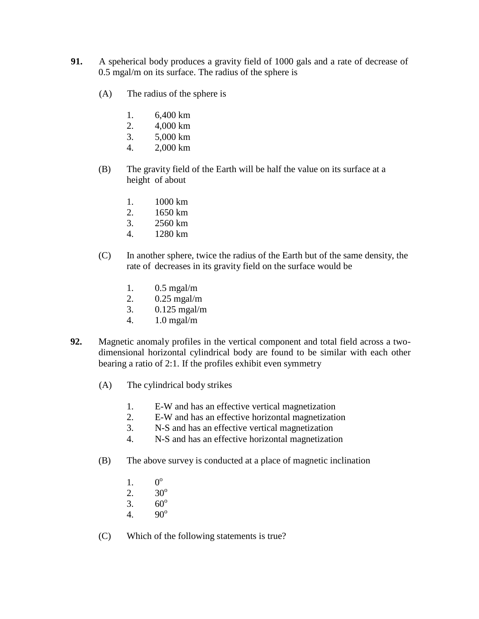- **91.** A speherical body produces a gravity field of 1000 gals and a rate of decrease of 0.5 mgal/m on its surface. The radius of the sphere is
	- (A) The radius of the sphere is
		- 1. 6,400 km
		- 2. 4,000 km
		- 3. 5,000 km
		- 4. 2,000 km
	- (B) The gravity field of the Earth will be half the value on its surface at a height of about
		- 1. 1000 km
		- 2. 1650 km
		- 3. 2560 km
		- 4. 1280 km
	- (C) In another sphere, twice the radius of the Earth but of the same density, the rate of decreases in its gravity field on the surface would be
		- 1. 0.5 mgal/m
		- 2. 0.25 mgal/m
		- 3. 0.125 mgal/m
		- 4. 1.0 mgal/m
- **92.** Magnetic anomaly profiles in the vertical component and total field across a twodimensional horizontal cylindrical body are found to be similar with each other bearing a ratio of 2:1. If the profiles exhibit even symmetry
	- (A) The cylindrical body strikes
		- 1. E-W and has an effective vertical magnetization
		- 2. E-W and has an effective horizontal magnetization
		- 3. N-S and has an effective vertical magnetization
		- 4. N-S and has an effective horizontal magnetization
	- (B) The above survey is conducted at a place of magnetic inclination
		- 1. 0  $0^{\rm o}$
		- 2.  $30^{\circ}$
		- 3.  $60^{\circ}$
		- 4.  $90^{\circ}$
	- (C) Which of the following statements is true?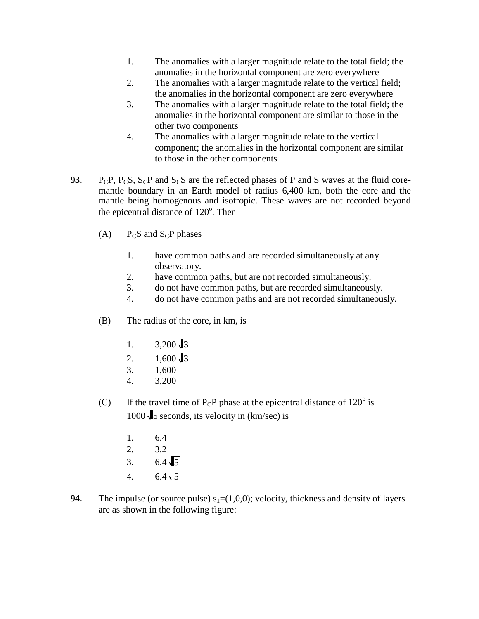- 1. The anomalies with a larger magnitude relate to the total field; the anomalies in the horizontal component are zero everywhere
- 2. The anomalies with a larger magnitude relate to the vertical field; the anomalies in the horizontal component are zero everywhere
- 3. The anomalies with a larger magnitude relate to the total field; the anomalies in the horizontal component are similar to those in the other two components
- 4. The anomalies with a larger magnitude relate to the vertical component; the anomalies in the horizontal component are similar to those in the other components
- **93.** P<sub>C</sub>P, P<sub>C</sub>S, S<sub>C</sub>P and S<sub>C</sub>S are the reflected phases of P and S waves at the fluid coremantle boundary in an Earth model of radius 6,400 km, both the core and the mantle being homogenous and isotropic. These waves are not recorded beyond the epicentral distance of  $120^\circ$ . Then
	- (A)  $P_C S$  and  $S_C P$  phases
		- 1. have common paths and are recorded simultaneously at any observatory.
		- 2. have common paths, but are not recorded simultaneously.
		- 3. do not have common paths, but are recorded simultaneously.
		- 4. do not have common paths and are not recorded simultaneously.
	- (B) The radius of the core, in km, is
		- 1.  $3,200\sqrt{3}$
		- 2.  $1,600\sqrt{3}$
		- 3. 1,600
		- 4. 3,200
	- (C) If the travel time of  $P_{C}P$  phase at the epicentral distance of  $120^{\circ}$  is  $1000 \sqrt{5}$  seconds, its velocity in (km/sec) is
		- 1. 6.4
		- 2. 3.2
		- 3.  $6.4\sqrt{5}$
		- 4.  $6.4\sqrt{5}$
- **94.** The impulse (or source pulse)  $s_1 = (1,0,0)$ ; velocity, thickness and density of layers are as shown in the following figure: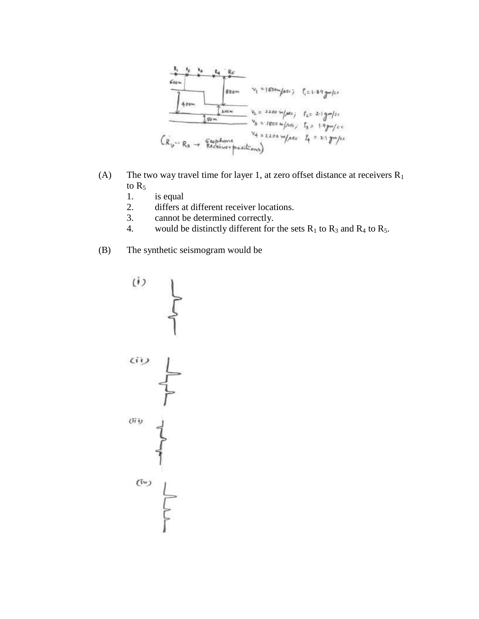

- (A) The two way travel time for layer 1, at zero offset distance at receivers  $R_1$ to  $R_5$ 
	- 1. is equal
	- 2. differs at different receiver locations.
	- 3. cannot be determined correctly.
	- 4. would be distinctly different for the sets  $R_1$  to  $R_3$  and  $R_4$  to  $R_5$ .
- (B) The synthetic seismogram would be



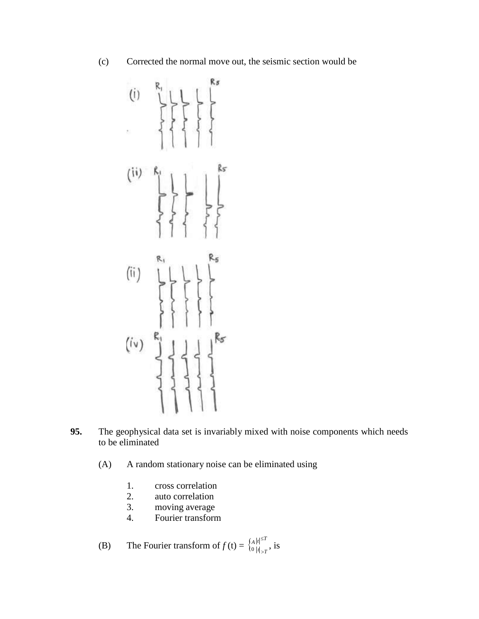(c) Corrected the normal move out, the seismic section would be



- **95.** The geophysical data set is invariably mixed with noise components which needs to be eliminated
	- (A) A random stationary noise can be eliminated using
		- 1. cross correlation
		- 2. auto correlation
		- 3. moving average
		- 4. Fourier transform
	- (B) The Fourier transform of  $f(t) = \begin{cases} A|t| \leq T \\ 0 |t| > T \end{cases}$ , is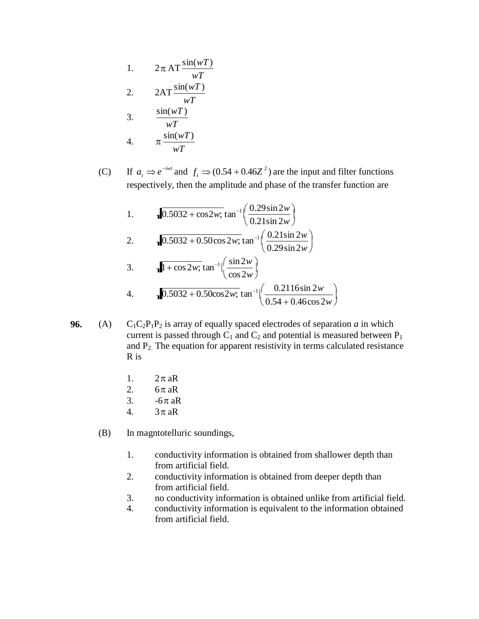1. 
$$
2 \pi A T \frac{\sin(wT)}{wT}
$$
  
\n2.  $2 A T \frac{\sin(wT)}{wT}$   
\n3.  $\frac{\sin(wT)}{wT}$   
\n4.  $\pi \frac{\sin(wT)}{wT}$ 

(C) If  $a_t \Rightarrow e^{-iwt}$  and  $f_t \Rightarrow (0.54 + 0.46Z^2)$  are the input and filter functions respectively, then the amplitude and phase of the transfer function are

1.   
\n10.5032 + cos2w; 
$$
\tan^{-1} \left( \frac{0.29 \sin 2w}{0.21 \sin 2w} \right)
$$
  
\n2.   
\n10.5032 + 0.50 cos 2w;  $\tan^{-1} \left( \frac{0.21 \sin 2w}{0.29 \sin 2w} \right)$   
\n3.   
\n11 + cos 2w;  $\tan^{-1} \left( \frac{\sin 2w}{\cos 2w} \right)$   
\n4.   
\n10.5032 + 0.50 cos2w;  $\tan^{-1} \left( \frac{0.2116 \sin 2w}{0.54 + 0.46 \cos 2w} \right)$ 

- **96.** (A)  $C_1C_2P_1P_2$  is array of equally spaced electrodes of separation *a* in which current is passed through  $C_1$  and  $C_2$  and potential is measured between  $P_1$ and P2. The equation for apparent resistivity in terms calculated resistance R is
	- 1.  $2\pi aR$
	- 2.  $6\pi aR$
	- 3.  $-6\pi$  aR
	- 4.  $3\pi aR$
	- (B) In magntotelluric soundings,
		- 1. conductivity information is obtained from shallower depth than from artificial field.
		- 2. conductivity information is obtained from deeper depth than from artificial field.
		- 3. no conductivity information is obtained unlike from artificial field.
		- 4. conductivity information is equivalent to the information obtained from artificial field.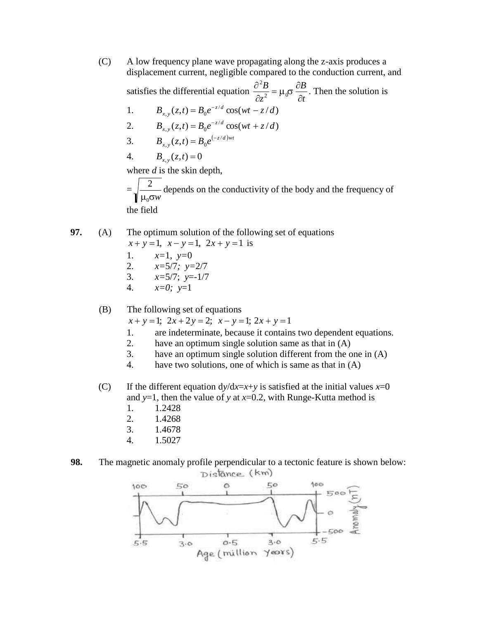1.  $B_{x,y}(z,t) = B_0 e^{-z/d} \cos(wt - z/d)$ 2.  $B_{x,y}(z,t) = B_0 e^{-z/d} \cos(wt + z/d)$ 3.  $B_{x,y}(z,t) = B_0 e^{(-z/d)wt}$ (C) A low frequency plane wave propagating along the z-axis produces a displacement current, negligible compared to the conduction current, and 2 satisfies the differential equation  $\frac{\partial^2 B}{\partial x^2} = \mu_0 \sigma \frac{\partial B}{\partial x}$ . Then the solution is  $\partial z^2$ <sup>- $\mu_0$ </sup> $\partial t$ 4.  $B_{x,y}(z,t) = 0$ where *d* is the skin depth,  $=\sqrt{\frac{2}{m}}$  depends on the conductivity of the body and the frequency of

 $μ<sub>0</sub>σw$ the field

**97.** (A) The optimum solution of the following set of equations

$$
x + y = 1
$$
,  $x - y = 1$ ,  $2x + y = 1$  is

1. 
$$
x=1, y=0
$$
  
2.  $x=5/7, y=2/7$ 

2. 
$$
x=3/7
$$
;  $y=2/7$ 

- 3. *x=*5/7; *y*=-1/7
- 4. *x=0; y*=1

(B) The following set of equations

 $x + y = 1$ ;  $2x + 2y = 2$ ;  $x - y = 1$ ;  $2x + y = 1$ 

- 1. are indeterminate, because it contains two dependent equations.
- 2. have an optimum single solution same as that in (A)
- 3. have an optimum single solution different from the one in (A)
- 4. have two solutions, one of which is same as that in (A)
- (C) If the different equation  $dy/dx=x+y$  is satisfied at the initial values  $x=0$ and  $y=1$ , then the value of y at  $x=0.2$ , with Runge-Kutta method is
	- 1. 1.2428
	- 2. 1.4268
	- 3. 1.4678
	- 4. 1.5027
- **98.** The magnetic anomaly profile perpendicular to a tectonic feature is shown below:Distance (km)

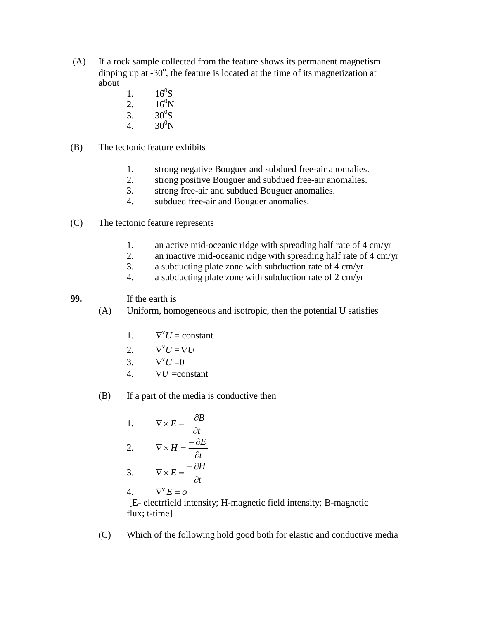- (A) If a rock sample collected from the feature shows its permanent magnetism dipping up at  $-30^\circ$ , the feature is located at the time of its magnetization at about
	- 1.  $16^0$ S
	- 2.  $16^0$ N
	- 3.  $30^0$ S
	- 4.  $30^0 N$
- (B) The tectonic feature exhibits
	- 1. strong negative Bouguer and subdued free-air anomalies.
	- 2. strong positive Bouguer and subdued free-air anomalies.
	- 3. strong free-air and subdued Bouguer anomalies.
	- 4. subdued free-air and Bouguer anomalies.
- (C) The tectonic feature represents
	- 1. an active mid-oceanic ridge with spreading half rate of 4 cm/yr
	- 2. an inactive mid-oceanic ridge with spreading half rate of 4 cm/yr
	- 3. a subducting plate zone with subduction rate of 4 cm/yr
	- 4. a subducting plate zone with subduction rate of 2 cm/yr

**99.** If the earth is

- (A) Uniform, homogeneous and isotropic, then the potential U satisfies
	- 1.  $\nabla^{\mathsf{v}} U = \text{constant}$
	- 2.  $\nabla^{\text{v}} U = \nabla U$
	- 3.  $\nabla^{\rm v} U = 0$
	- 4.  $\nabla U = constant$
- (B) If a part of the media is conductive then

1. 
$$
\nabla \times E = \frac{-\partial B}{\partial t}
$$

$$
2. \qquad \nabla \times H = \frac{-\partial E}{\partial t}
$$

$$
3. \qquad \nabla \times E = \frac{-\partial H}{\partial t}
$$

4.  $E = 0$ 

[E- electrfield intensity; H-magnetic field intensity; B-magnetic flux; t-time]

(C) Which of the following hold good both for elastic and conductive media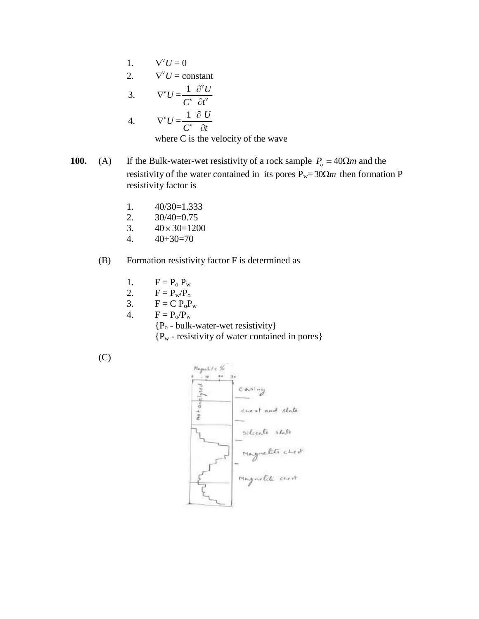- 1.  $\nabla^{\mathbf{v}}U=0$
- 2.  $\nabla^{\nu} U = \text{constant}$

3. 
$$
\nabla^{\mathrm{v}} U = \frac{1}{C^{\mathrm{v}}} \frac{\partial^{\mathrm{v}} U}{\partial t^{\mathrm{v}}}
$$
  
4. 
$$
\nabla^{\mathrm{v}} U = \frac{1}{C^{\mathrm{v}}} \frac{\partial U}{\partial t}
$$
where *G* is the value

where C is the velocity of the wave

- **100.** (A) If the Bulk-water-wet resistivity of a rock sample  $P$ <sup>*o*</sup> = 40 $\Omega$ *m* and the resistivity of the water contained in its pores  $P_w = 30\Omega m$  then formation P resistivity factor is
	- 1. 40/30=1.333
	- 2. 30/40=0.75
	- 3.  $40 \times 30 = 1200$
	- 4.  $40+30=70$

### (B) Formation resistivity factor F is determined as

- 1.  $F = P_o P_w$ <br>2.  $F = P_w / P_o$
- $F = P_w / P_o$
- 3.  $F = C P_0 P_w$
- 4.  $F = P_0/P_w$

{P<sup>o</sup> - bulk-water-wet resistivity}

{P<sup>w</sup> - resistivity of water contained in pores}



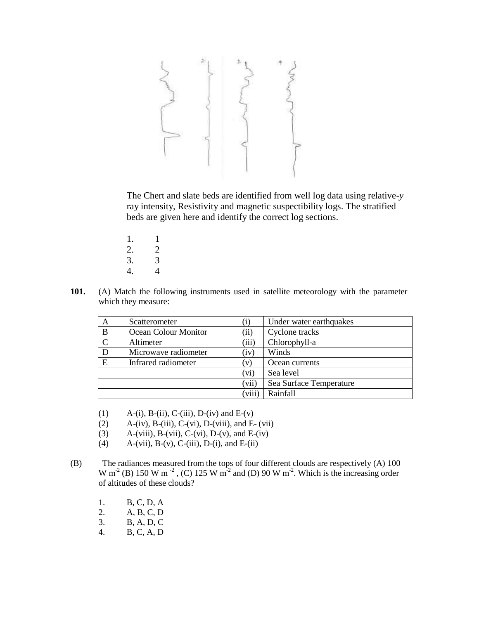The Chert and slate beds are identified from well log data using relative-*y*  ray intensity, Resistivity and magnetic suspectibility logs. The stratified beds are given here and identify the correct log sections.

- 1. 1
- 2. 2
- 3. 3
- 4. 4
- **101.** (A) Match the following instruments used in satellite meteorology with the parameter which they measure:

| A             | Scatterometer        | $\rm(i)$      | Under water earthquakes |
|---------------|----------------------|---------------|-------------------------|
| $\mathbf{B}$  | Ocean Colour Monitor | $\rm (ii)$    | Cyclone tracks          |
| $\mathcal{C}$ | Altimeter            | (iii)         | Chlorophyll-a           |
| D             | Microwave radiometer | (iv)          | Winds                   |
| E             | Infrared radiometer  | $\mathbf{v})$ | Ocean currents          |
|               |                      | (vi)          | Sea level               |
|               |                      | (vii)         | Sea Surface Temperature |
|               |                      | (viii)        | Rainfall                |

- (1) A-(i), B-(ii), C-(iii), D-(iv) and  $E(y)$
- $(2)$  A-(iv), B-(iii), C-(vi), D-(viii), and E- (vii)
- (3) A-(viii), B-(vii), C-(vi), D-(v), and E-(iv)
- (4) A-(vii), B-(v), C-(iii), D-(i), and E-(ii)
- (B) The radiances measured from the tops of four different clouds are respectively (A) 100 W m<sup>-2</sup> (B) 150 W m<sup>-2</sup>, (C) 125 W m<sup>-2</sup> and (D) 90 W m<sup>-2</sup>. Which is the increasing order of altitudes of these clouds?
	- 1. B, C, D, A
	- 2. A, B, C, D
	- 3. B, A, D, C
	- 4. B, C, A, D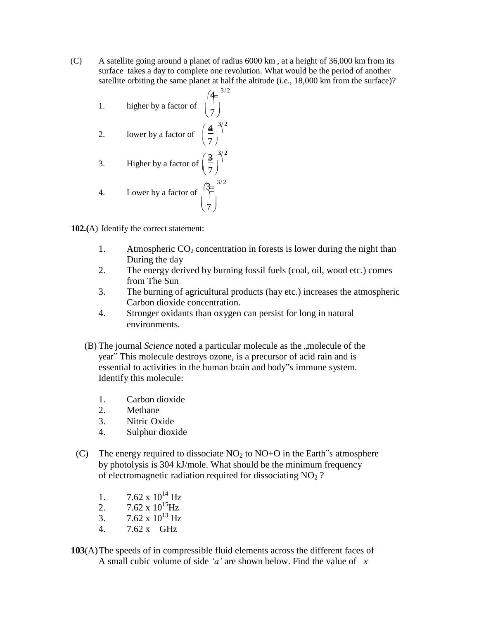- (C) A satellite going around a planet of radius 6000 km , at a height of 36,000 km from its surface takes a day to complete one revolution. What would be the period of another satellite orbiting the same planet at half the altitude (i.e., 18,000 km from the surface)?
	- 1. higher by a factor of  $\begin{pmatrix} 4 & 3/2 \\ 7 \end{pmatrix}$ 2. lower by a factor of  $\begin{pmatrix} \frac{4}{5} \\ 1 \end{pmatrix}$ 3. Higher by a factor of  $\left(\frac{3}{7}\right)^{3/2}$ 4. Lower by a factor of  $\left(\frac{3}{2}\right)^{3/2}$  $(4)^{3/2}$  $\left(\frac{1}{7}\right)$  $\binom{7}{ }$

**102.(**A) Identify the correct statement:

- 1. Atmospheric  $CO_2$  concentration in forests is lower during the night than During the day
- 2. The energy derived by burning fossil fuels (coal, oil, wood etc.) comes from The Sun
- 3. The burning of agricultural products (hay etc.) increases the atmospheric Carbon dioxide concentration.
- 4. Stronger oxidants than oxygen can persist for long in natural environments.
- (B) The journal *Science* noted a particular molecule as the "molecule of the year" This molecule destroys ozone, is a precursor of acid rain and is essential to activities in the human brain and body"s immune system. Identify this molecule:
	- 1. Carbon dioxide
	- 2. Methane
	- 3. Nitric Oxide
	- 4. Sulphur dioxide
- (C) The energy required to dissociate  $NO<sub>2</sub>$  to  $NO<sub>+</sub>O$  in the Earth s atmosphere by photolysis is 304 kJ/mole. What should be the minimum frequency of electromagnetic radiation required for dissociating  $NO<sub>2</sub>$ ?
	- 1.  $7.62 \times 10^{14}$  Hz
	- 2.  $7.62 \times 10^{15}$ Hz
	- 3. 7.62 x  $10^{13}$  Hz
	- 4. 7.62 x GHz
- **103**(A)The speeds of in compressible fluid elements across the different faces of A small cubic volume of side *'a'* are shown below. Find the value of *x*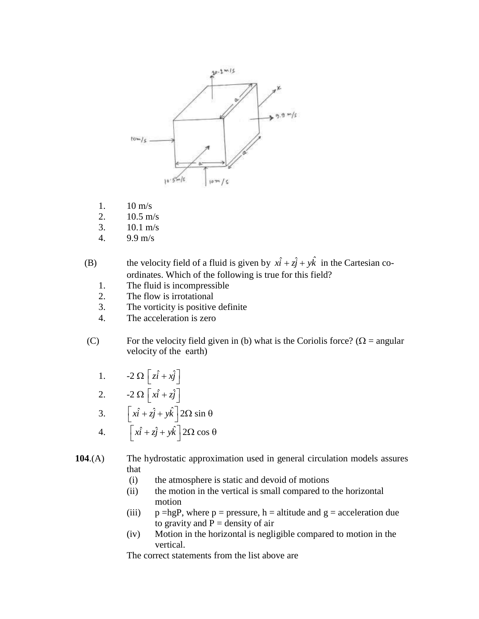

- 1. 10 m/s
- 2. 10.5 m/s
- 3. 10.1 m/s
- 4. 9.9 m/s

(B) the velocity field of a fluid is given by  $x\hat{i} + z\hat{j} + y\hat{k}$  in the Cartesian coordinates. Which of the following is true for this field?

- 1. The fluid is incompressible
- 2. The flow is irrotational
- 3. The vorticity is positive definite
- 4. The acceleration is zero
- (C) For the velocity field given in (b) what is the Coriolis force? ( $\Omega$  = angular velocity of the earth)
	- 1.  $-2\Omega \left[z\hat{i} + x\hat{j}\right]$
	- 2.  $-2\Omega\left[\hat{x} + \hat{z}\hat{j}\right]$

3. 
$$
\begin{bmatrix} x\hat{i} + z\hat{j} + y\hat{k} \end{bmatrix} 2\Omega \sin \theta
$$
  
4. 
$$
\begin{bmatrix} x\hat{i} + z\hat{j} + y\hat{k} \end{bmatrix} 2\Omega \cos \theta
$$

**104**.(A) The hydrostatic approximation used in general circulation models assures that

- (i) the atmosphere is static and devoid of motions
- (ii) the motion in the vertical is small compared to the horizontal motion
- (iii) p =hgP, where p = pressure, h = altitude and  $g =$  acceleration due to gravity and  $P =$  density of air
- (iv) Motion in the horizontal is negligible compared to motion in the vertical.

The correct statements from the list above are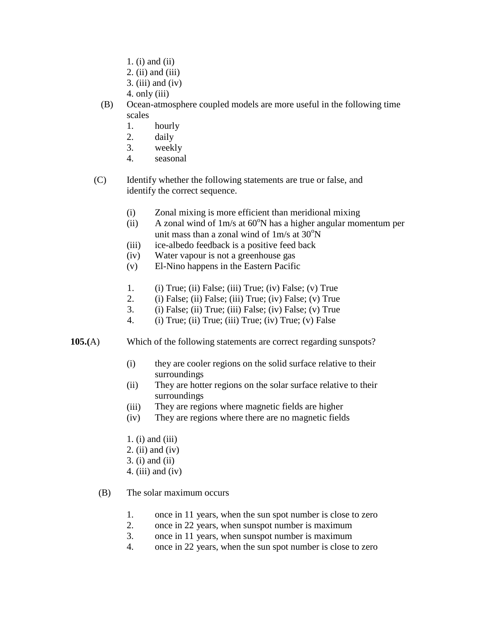- 1. (i) and (ii)
- 2. (ii) and (iii)
- 3. (iii) and (iv)
- 4. only (iii)
- (B) Ocean-atmosphere coupled models are more useful in the following time scales
	- 1. hourly
	- 2. daily
	- 3. weekly
	- 4. seasonal
- (C) Identify whether the following statements are true or false, and identify the correct sequence.
	- (i) Zonal mixing is more efficient than meridional mixing
	- (ii) A zonal wind of  $1m/s$  at 60 $\degree$ N has a higher angular momentum per unit mass than a zonal wind of  $1m/s$  at  $30^{\circ}N$
	- (iii) ice-albedo feedback is a positive feed back
	- $(iv)$ Water vapour is not a greenhouse gas
	- (v) El-Nino happens in the Eastern Pacific
	- 1. (i) True; (ii) False; (iii) True; (iv) False; (v) True
	- 2. (i) False; (ii) False; (iii) True; (iv) False; (v) True
	- 3. (i) False; (ii) True; (iii) False; (iv) False; (v) True
	- 4. (i) True; (ii) True; (iii) True; (iv) True; (v) False
- **105.(**A) Which of the following statements are correct regarding sunspots?
	- (i) they are cooler regions on the solid surface relative to their surroundings
	- (ii) They are hotter regions on the solar surface relative to their surroundings
	- (iii) They are regions where magnetic fields are higher
	- (iv) They are regions where there are no magnetic fields
	- 1. (i) and (iii)
	- 2. (ii) and (iv)
	- 3. (i) and (ii)
	- 4. (iii) and (iv)
	- (B) The solar maximum occurs
		- 1. once in 11 years, when the sun spot number is close to zero
		- 2. once in 22 years, when sunspot number is maximum
		- 3. once in 11 years, when sunspot number is maximum
		- 4. once in 22 years, when the sun spot number is close to zero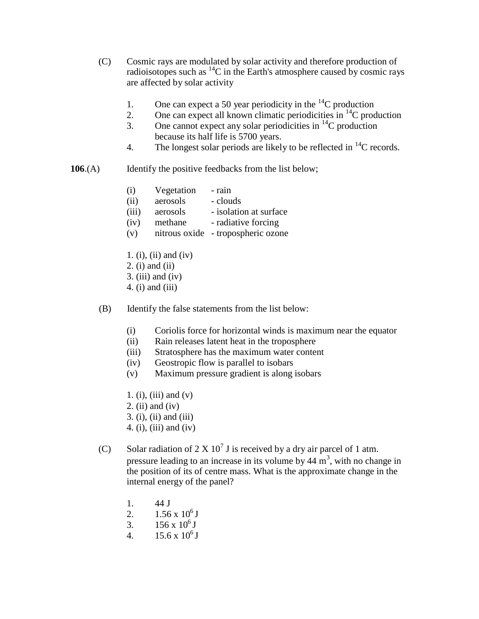- (C) Cosmic rays are modulated by solar activity and therefore production of radioisotopes such as  ${}^{14}C$  in the Earth's atmosphere caused by cosmic rays are affected by solar activity
	- 1. One can expect a 50 year periodicity in the  ${}^{14}C$  production
	- 2. One can expect all known climatic periodicities in  ${}^{14}C$  production
	- 3. One cannot expect any solar periodicities in  ${}^{14}C$  production because its half life is 5700 years.
	- 4. The longest solar periods are likely to be reflected in  $^{14}$ C records.
- **106.**(A) Identify the positive feedbacks from the list below;

| (i) | Vegetation | - rain |
|-----|------------|--------|
|     |            |        |

- (ii) aerosols clouds
- (iii) aerosols isolation at surface
- (iv) methane radiative forcing
- (v) nitrous oxide tropospheric ozone
- 1. (i), (ii) and (iv)
- 2. (i) and (ii)
- $3.$  (iii) and (iv)
- 4. (i) and (iii)
- (B) Identify the false statements from the list below:
	- (i) Coriolis force for horizontal winds is maximum near the equator
	- (ii) Rain releases latent heat in the troposphere
	- (iii) Stratosphere has the maximum water content
	- (iv) Geostropic flow is parallel to isobars
	- (v) Maximum pressure gradient is along isobars
	- 1. (i), (iii) and  $(v)$
	- 2. (ii) and (iv)
	- 3. (i), (ii) and (iii)
	- 4. (i), (iii) and (iv)
- (C) Solar radiation of  $2 \times 10^7$  J is received by a dry air parcel of 1 atm. pressure leading to an increase in its volume by  $44 \text{ m}^3$ , with no change in the position of its of centre mass. What is the approximate change in the internal energy of the panel?
	- 1. 44 J
	- 2.  $1.56 \times 10^6$  J
	- 3.  $156 \times 10^6$  J
	- 4.  $15.6 \times 10^6$  J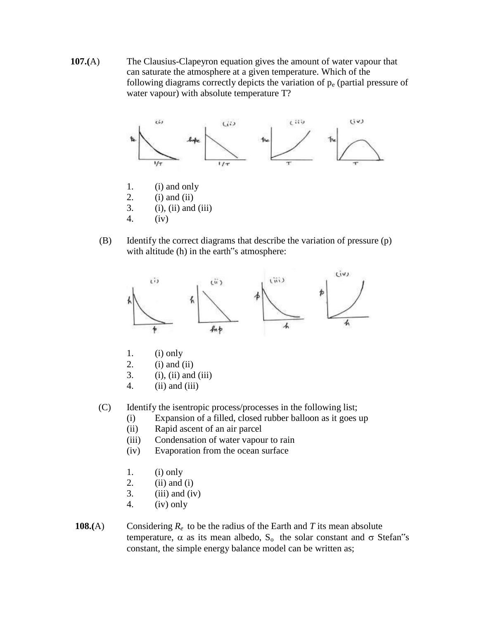**107.(**A) The Clausius-Clapeyron equation gives the amount of water vapour that can saturate the atmosphere at a given temperature. Which of the following diagrams correctly depicts the variation of  $p_e$  (partial pressure of water vapour) with absolute temperature T?



- 2. (i) and (ii)
- 3. (i), (ii) and (iii)
- 4. (iv)
- (B) Identify the correct diagrams that describe the variation of pressure (p) with altitude (h) in the earth "s atmosphere:



- 1. (i) only
- 2. (i) and (ii)
- 3. (i), (ii) and (iii)
- 4. (ii) and (iii)
- (C) Identify the isentropic process/processes in the following list;
	- (i) Expansion of a filled, closed rubber balloon as it goes up
	- (ii) Rapid ascent of an air parcel
	- (iii) Condensation of water vapour to rain
	- (iv) Evaporation from the ocean surface
	- 1. (i) only
	- 2. (ii) and (i)
	- 3. (iii) and (iv)
	- 4. (iv) only
- **108.**(A) Considering  $R_e$  to be the radius of the Earth and *T* its mean absolute temperature,  $\alpha$  as its mean albedo,  $S_0$  the solar constant and  $\sigma$  Stefan"s constant, the simple energy balance model can be written as;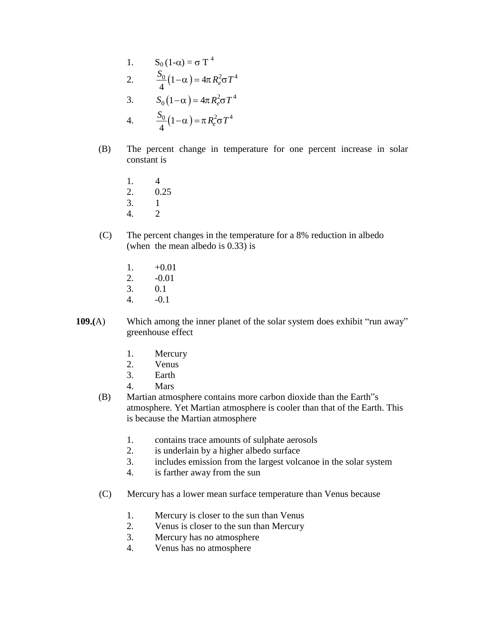1. 
$$
S_0 (1-\alpha) = \sigma T^4
$$
  
\n2.  $\frac{S_0}{4} (1-\alpha) = 4\pi R_e^2 \sigma T^4$   
\n3.  $S_0 (1-\alpha) = 4\pi R_e^2 \sigma T^4$   
\n4.  $\frac{S_0}{4} (1-\alpha) = \pi R_e^2 \sigma T^4$ 

- (B) The percent change in temperature for one percent increase in solar constant is
	- 1. 4
	- 2. 0.25
	- 3. 1
	- 4. 2
- (C) The percent changes in the temperature for a 8% reduction in albedo (when the mean albedo is 0.33) is
	- 1.  $+0.01$
	- 2. -0.01
	- 3. 0.1
	- 4. -0.1
- **109.**(A) Which among the inner planet of the solar system does exhibit "run away" greenhouse effect
	- 1. Mercury
	- 2. Venus
	- 3. Earth
	- 4. Mars
	- (B) Martian atmosphere contains more carbon dioxide than the Earth"s atmosphere. Yet Martian atmosphere is cooler than that of the Earth. This is because the Martian atmosphere
		- 1. contains trace amounts of sulphate aerosols
		- 2. is underlain by a higher albedo surface
		- 3. includes emission from the largest volcanoe in the solar system
		- 4. is farther away from the sun
	- (C) Mercury has a lower mean surface temperature than Venus because
		- 1. Mercury is closer to the sun than Venus
		- 2. Venus is closer to the sun than Mercury
		- 3. Mercury has no atmosphere
		- 4. Venus has no atmosphere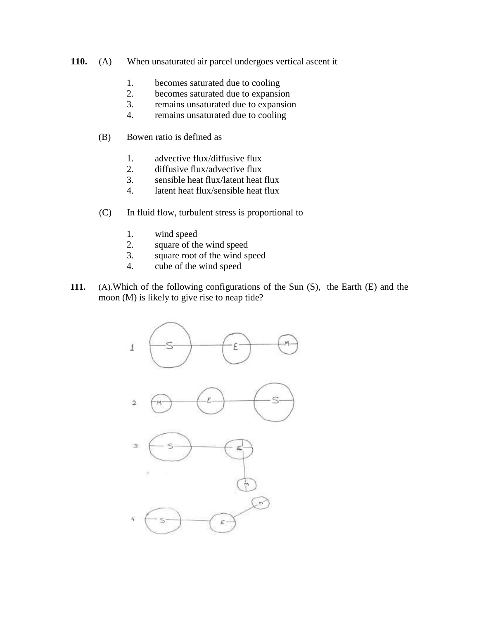- **110.** (A) When unsaturated air parcel undergoes vertical ascent it
	- 1. becomes saturated due to cooling
	- 2. becomes saturated due to expansion
	- 3. remains unsaturated due to expansion
	- 4. remains unsaturated due to cooling
	- (B) Bowen ratio is defined as
		- 1. advective flux/diffusive flux
		- 2. diffusive flux/advective flux
		- 3. sensible heat flux/latent heat flux
		- 4. latent heat flux/sensible heat flux
	- (C) In fluid flow, turbulent stress is proportional to
		- 1. wind speed
		- 2. square of the wind speed
		- 3. square root of the wind speed
		- 4. cube of the wind speed
- **111.** (A).Which of the following configurations of the Sun (S), the Earth (E) and the moon (M) is likely to give rise to neap tide?

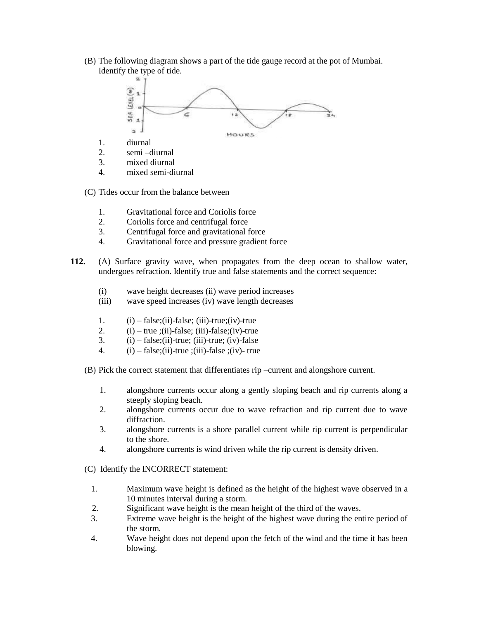(B) The following diagram shows a part of the tide gauge record at the pot of Mumbai. Identify the type of tide.



- 1. diurnal
- 2. semi –diurnal
- 3. mixed diurnal
- 4. mixed semi-diurnal

(C) Tides occur from the balance between

- 1. Gravitational force and Coriolis force
- 2. Coriolis force and centrifugal force
- 3. Centrifugal force and gravitational force
- 4. Gravitational force and pressure gradient force
- **112.** (A) Surface gravity wave, when propagates from the deep ocean to shallow water, undergoes refraction. Identify true and false statements and the correct sequence:
	- (i) wave height decreases (ii) wave period increases
	- (iii) wave speed increases (iv) wave length decreases
	- 1.  $(i)$  false; (ii)-false; (iii)-true; (iv)-true
	- 2.  $(i)$  true ;(ii)-false; (iii)-false;(iv)-true
	- 3.  $(i)$  false; $(ii)$ -true;  $(iii)$ -true;  $(iv)$ -false
	- 4.  $(i)$  false;(ii)-true ;(iii)-false ;(iv)- true
	- (B) Pick the correct statement that differentiates rip –current and alongshore current.
		- 1. alongshore currents occur along a gently sloping beach and rip currents along a steeply sloping beach.
		- 2. alongshore currents occur due to wave refraction and rip current due to wave diffraction.
		- 3. alongshore currents is a shore parallel current while rip current is perpendicular to the shore.
		- 4. alongshore currents is wind driven while the rip current is density driven.
	- (C) Identify the INCORRECT statement:
		- 1. Maximum wave height is defined as the height of the highest wave observed in a 10 minutes interval during a storm.
		- 2. Significant wave height is the mean height of the third of the waves.
		- 3. Extreme wave height is the height of the highest wave during the entire period of the storm.
		- 4. Wave height does not depend upon the fetch of the wind and the time it has been blowing.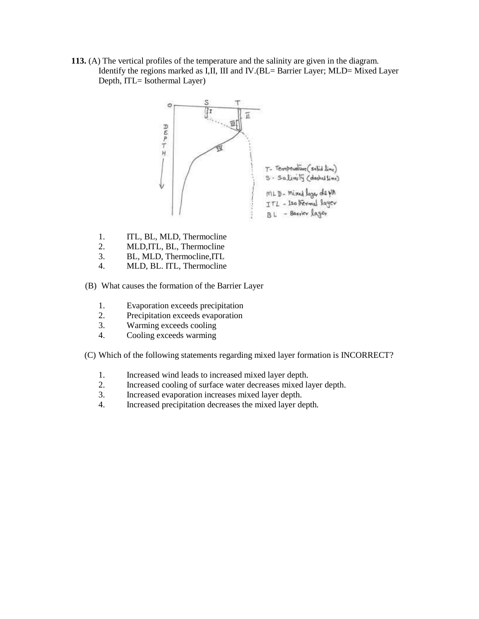**113.** (A) The vertical profiles of the temperature and the salinity are given in the diagram. Identify the regions marked as I,II, III and IV.(BL= Barrier Layer; MLD= Mixed Layer Depth, ITL= Isothermal Layer)



- 1. ITL, BL, MLD, Thermocline
- 2. MLD,ITL, BL, Thermocline
- 3. BL, MLD, Thermocline,ITL
- 4. MLD, BL. ITL, Thermocline
- (B) What causes the formation of the Barrier Layer
	- 1. Evaporation exceeds precipitation
	- 2. Precipitation exceeds evaporation
	- 3. Warming exceeds cooling
	- 4. Cooling exceeds warming
- (C) Which of the following statements regarding mixed layer formation is INCORRECT?
	- 1. Increased wind leads to increased mixed layer depth.
	- 2. Increased cooling of surface water decreases mixed layer depth.
	- 3. Increased evaporation increases mixed layer depth.
	- 4. Increased precipitation decreases the mixed layer depth.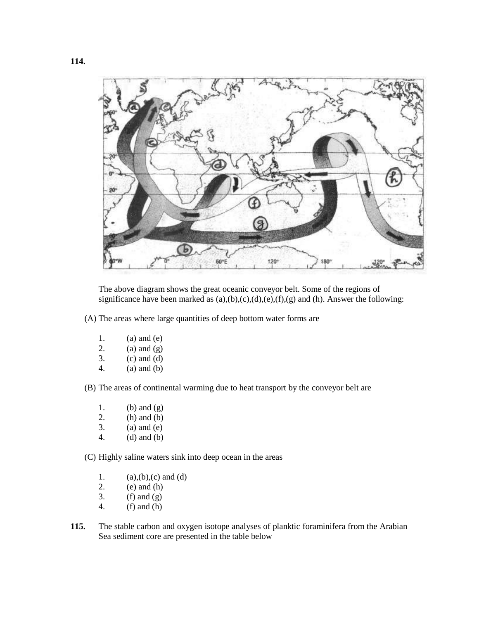

The above diagram shows the great oceanic conveyor belt. Some of the regions of significance have been marked as  $(a),(b),(c),(d),(e),(f),(g)$  and  $(h)$ . Answer the following:

(A) The areas where large quantities of deep bottom water forms are

- 1. (a) and (e)<br>2. (a) and (g)
- 2. (a) and (g)<br>3. (c) and (d)
- $(c)$  and  $(d)$
- 4. (a) and (b)
- (B) The areas of continental warming due to heat transport by the conveyor belt are
	- 1. (b) and  $(g)$
	- 2. (h) and (b)
	- $3.$  (a) and (e)
	- 4. (d) and (b)

(C) Highly saline waters sink into deep ocean in the areas

- 1. (a),(b),(c) and (d)<br>2. (e) and (h)
- $(e)$  and  $(h)$
- 3. (f) and  $(g)$
- 4. (f) and (h)
- **115.** The stable carbon and oxygen isotope analyses of planktic foraminifera from the Arabian Sea sediment core are presented in the table below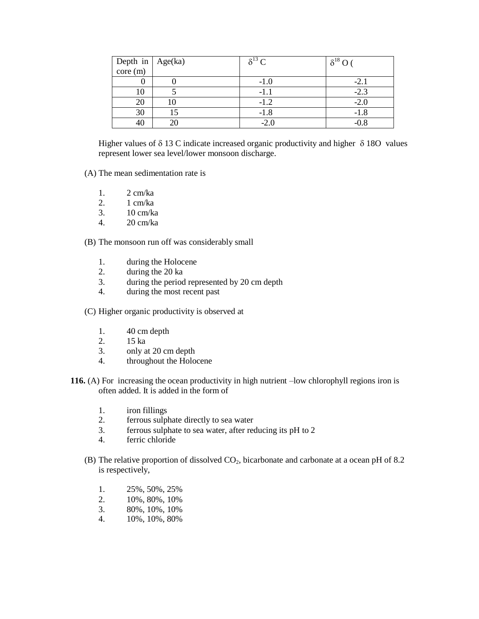| Depth in $\left  \text{Age(ka)} \right $ | $\delta^{13}$ C | $\delta^{18}\,\mathrm{O}$ |
|------------------------------------------|-----------------|---------------------------|
|                                          |                 |                           |
| υ                                        | $-1.0$          | $-2.1$                    |
| 10                                       | -1.1            | $-2.3$                    |
| 20                                       | $-1.2$          | $-2.0$                    |
| 30                                       | $-1.8$          | $-1.8$                    |
|                                          | $-2.0$          | -0.8                      |

Higher values of  $\delta$  13 C indicate increased organic productivity and higher  $\delta$  180 values represent lower sea level/lower monsoon discharge.

- (A) The mean sedimentation rate is
	- 1. 2 cm/ka
	- 2. 1 cm/ka
	- 3. 10 cm/ka
	- 4. 20 cm/ka

(B) The monsoon run off was considerably small

- 1. during the Holocene
- 2. during the 20 ka
- 3. during the period represented by 20 cm depth
- 4. during the most recent past

(C) Higher organic productivity is observed at

- 1. 40 cm depth
- 2. 15 ka
- 3. only at 20 cm depth
- 4. throughout the Holocene
- **116.** (A) For increasing the ocean productivity in high nutrient –low chlorophyll regions iron is often added. It is added in the form of
	- 1. iron fillings
	- 2. ferrous sulphate directly to sea water
	- 3. ferrous sulphate to sea water, after reducing its pH to 2
	- 4. ferric chloride
	- (B) The relative proportion of dissolved  $CO<sub>2</sub>$ , bicarbonate and carbonate at a ocean pH of 8.2 is respectively,
		- 1. 25%, 50%, 25%
		- 2. 10%, 80%, 10%
		- 3. 80%, 10%, 10%
		- 4. 10%, 10%, 80%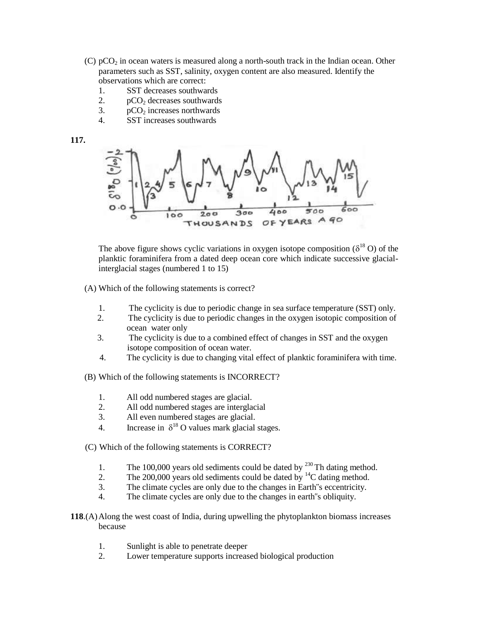- (C)  $pCO<sub>2</sub>$  in ocean waters is measured along a north-south track in the Indian ocean. Other parameters such as SST, salinity, oxygen content are also measured. Identify the observations which are correct:
	- 1. SST decreases southwards
	- 2.  $pCO<sub>2</sub>$  decreases southwards
	- 3.  $pCO<sub>2</sub>$  increases northwards<br>4. SST increases southwards
	- SST increases southwards





The above figure shows cyclic variations in oxygen isotope composition ( $\delta^{18}$  O) of the planktic foraminifera from a dated deep ocean core which indicate successive glacialinterglacial stages (numbered 1 to 15)

(A) Which of the following statements is correct?

- 1. The cyclicity is due to periodic change in sea surface temperature (SST) only.
- 2. The cyclicity is due to periodic changes in the oxygen isotopic composition of ocean water only
- 3. The cyclicity is due to a combined effect of changes in SST and the oxygen isotope composition of ocean water.
- 4. The cyclicity is due to changing vital effect of planktic foraminifera with time.
- (B) Which of the following statements is INCORRECT?
	- 1. All odd numbered stages are glacial.
	- 2. All odd numbered stages are interglacial
	- 3. All even numbered stages are glacial.
	- 4. Increase in  $\delta^{18}$  O values mark glacial stages.
- (C) Which of the following statements is CORRECT?
	- 1. The 100,000 years old sediments could be dated by  $^{230}$  Th dating method.
	- 2. The  $200,000$  years old sediments could be dated by  $\frac{14}{2}$ C dating method.
	- 3. The climate cycles are only due to the changes in Earth"s eccentricity.
	- 4. The climate cycles are only due to the changes in earth"s obliquity.
- **118**.(A)Along the west coast of India, during upwelling the phytoplankton biomass increases because
	- 1. Sunlight is able to penetrate deeper
	- 2. Lower temperature supports increased biological production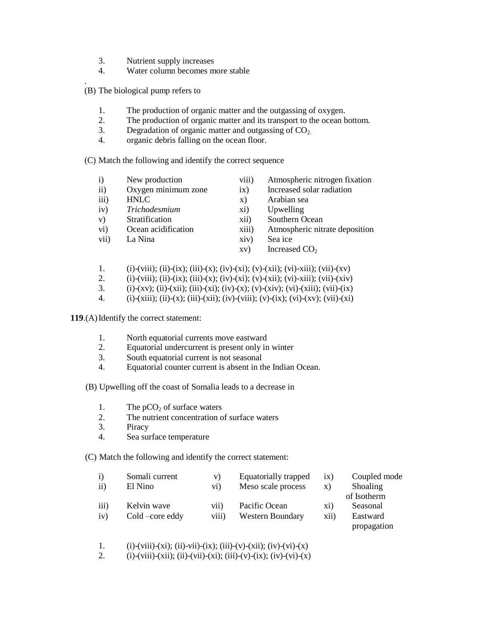- 3. Nutrient supply increases
- 4. Water column becomes more stable
- . (B) The biological pump refers to
	- 1. The production of organic matter and the outgassing of oxygen.
	- 2. The production of organic matter and its transport to the ocean bottom.
	- 3. Degradation of organic matter and outgassing of  $CO<sub>2</sub>$ .
	- 4. organic debris falling on the ocean floor.

(C) Match the following and identify the correct sequence

- 
- i) New production viii) Atmospheric nitrogen fixation<br>ii) Oxygen minimum zone ix) Increased solar radiation
- ii) Oxygen minimum zone ix) Increased solar radiation
- iii) HNLC x) Arabian sea
- iv) *Trichodesmium* xi) Upwelling
- 
- v) Stratification xii) Southern Ocean
- -
- vii) La Nina  $xiv$  Sea ice
- - xv) Increased  $CO<sub>2</sub>$
- 1. (i)-(viii); (ii)-(ix); (iii)-(x); (iv)-(xi); (v)-(xii); (vi)-xiii); (vii)-(xv)
- 2. (i)-(viii); (ii)-(ix); (iii)-(x); (iv)-(xi); (v)-(xii); (vi)-xiii); (vii)-(xiv)
- 3. (i)-(xv); (ii)-(xii); (iii)-(xi); (iv)-(x); (v)-(xiv); (vi)-(xiii); (vii)-(ix)
- 4. (i)-(xiii); (ii)-(x); (iii)-(xii); (iv)-(viii); (v)-(ix); (vi)-(xv); (vii)-(xi)

119.(A) Identify the correct statement:

- 1. North equatorial currents move eastward
- 2. Equatorial undercurrent is present only in winter
- 3. South equatorial current is not seasonal
- 4. Equatorial counter current is absent in the Indian Ocean.

(B) Upwelling off the coast of Somalia leads to a decrease in

- 1. The  $pCO<sub>2</sub>$  of surface waters
- 2. The nutrient concentration of surface waters
- 3. Piracy
- 4. Sea surface temperature

(C) Match the following and identify the correct statement:

| $\mathbf{i}$     | Somali current  | V)                                          | Equatorially trapped    | $\overline{1}X$ ) | Coupled mode    |
|------------------|-----------------|---------------------------------------------|-------------------------|-------------------|-----------------|
| $\rm ii)$        | El Nino         | $\overline{vi}$ )                           | Meso scale process      | X)                | <b>Shoaling</b> |
|                  |                 |                                             |                         |                   | of Isotherm     |
| $\overline{iii}$ | Kelvin wave     | $\overline{v}$ <sub>11</sub> $\overline{v}$ | Pacific Ocean           | X1)               | Seasonal        |
| iv)              | Cold –core eddy | viii)                                       | <b>Western Boundary</b> | xii)              | Eastward        |
|                  |                 |                                             |                         |                   | propagation     |

- 1. (i)-(viii)-(xi); (ii)-vii)-(ix); (iii)-(v)-(xii); (iv)-(vi)-(x)
- 2. (i)-(viii)-(xii); (ii)-(vii)-(xi); (iii)-(v)-(ix); (iv)-(vi)-(x)
- 
- vi) Ocean acidification xiii) Atmospheric nitrate deposition
	-
	-